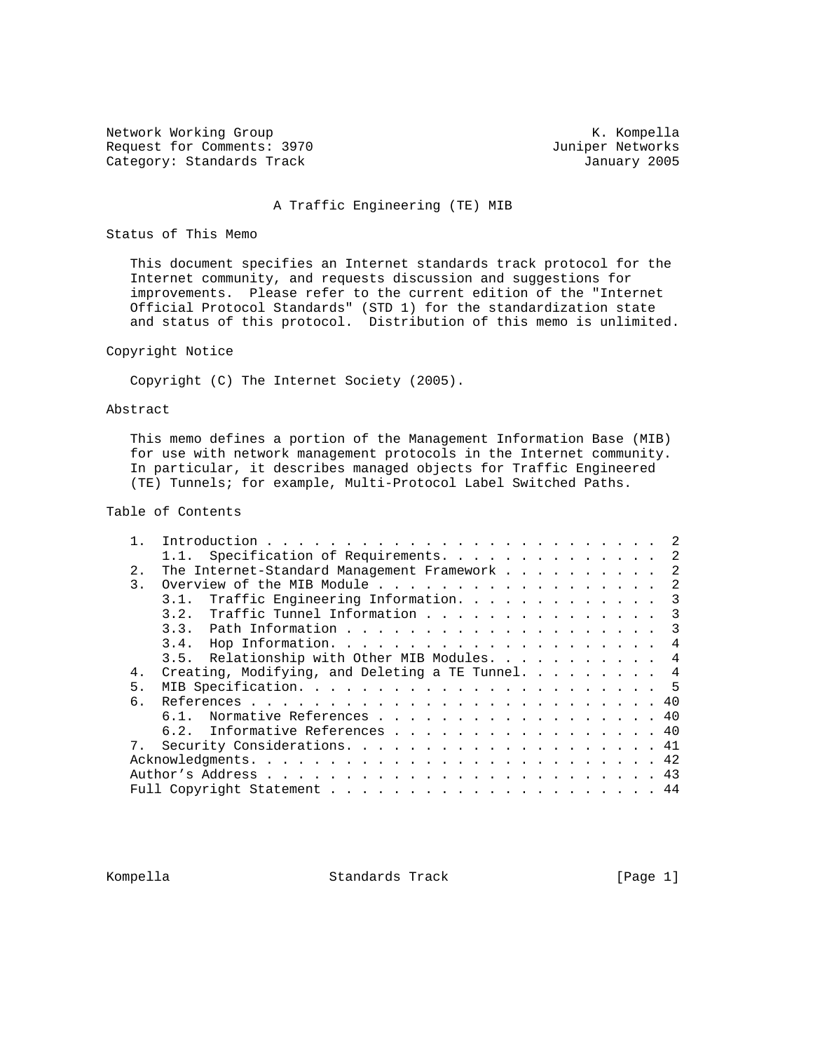Network Working Group and Month Competition and Month Competition and Month Competition and Month Competition Request for Comments: 3970 Juniper Networks<br>
Category: Standards Track Gategory: January 2005 Category: Standards Track

## A Traffic Engineering (TE) MIB

## Status of This Memo

 This document specifies an Internet standards track protocol for the Internet community, and requests discussion and suggestions for improvements. Please refer to the current edition of the "Internet Official Protocol Standards" (STD 1) for the standardization state and status of this protocol. Distribution of this memo is unlimited.

## Copyright Notice

Copyright (C) The Internet Society (2005).

## Abstract

 This memo defines a portion of the Management Information Base (MIB) for use with network management protocols in the Internet community. In particular, it describes managed objects for Traffic Engineered (TE) Tunnels; for example, Multi-Protocol Label Switched Paths.

# Table of Contents

|                  | 1.1. Specification of Requirements.<br>-2                 |
|------------------|-----------------------------------------------------------|
| 2.               | The Internet-Standard Management Framework<br>2           |
| $\overline{3}$ . | -2                                                        |
|                  | Traffic Engineering Information. 3<br>3.1.                |
|                  | 3.2. Traffic Tunnel Information 3                         |
|                  |                                                           |
|                  |                                                           |
|                  | 3.5. Relationship with Other MIB Modules. 4               |
| 4.               | Creating, Modifying, and Deleting a TE Tunnel. $\ldots$ 4 |
| 5.               |                                                           |
| რ.               |                                                           |
|                  | 6.1. Normative References 40                              |
|                  | 6.2. Informative References 40                            |
|                  |                                                           |
|                  |                                                           |
|                  |                                                           |
|                  |                                                           |
|                  |                                                           |

Kompella Standards Track [Page 1]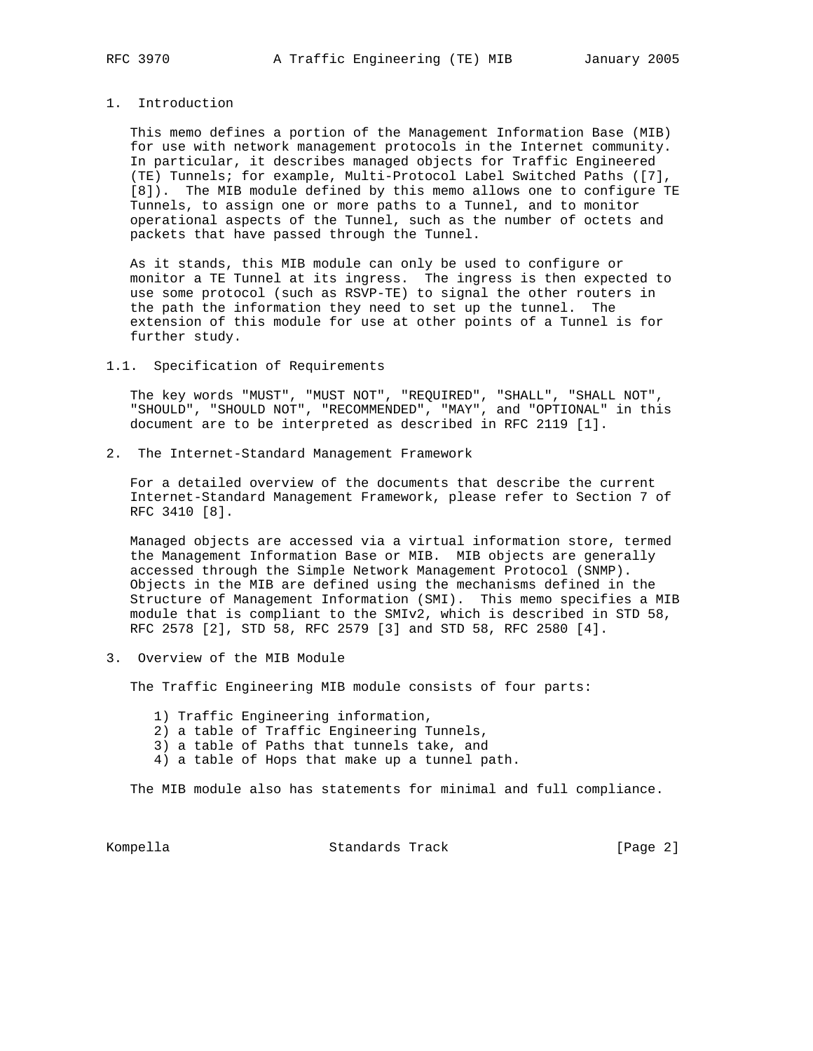#### 1. Introduction

 This memo defines a portion of the Management Information Base (MIB) for use with network management protocols in the Internet community. In particular, it describes managed objects for Traffic Engineered (TE) Tunnels; for example, Multi-Protocol Label Switched Paths ([7], [8]). The MIB module defined by this memo allows one to configure TE Tunnels, to assign one or more paths to a Tunnel, and to monitor operational aspects of the Tunnel, such as the number of octets and packets that have passed through the Tunnel.

 As it stands, this MIB module can only be used to configure or monitor a TE Tunnel at its ingress. The ingress is then expected to use some protocol (such as RSVP-TE) to signal the other routers in the path the information they need to set up the tunnel. The extension of this module for use at other points of a Tunnel is for further study.

## 1.1. Specification of Requirements

 The key words "MUST", "MUST NOT", "REQUIRED", "SHALL", "SHALL NOT", "SHOULD", "SHOULD NOT", "RECOMMENDED", "MAY", and "OPTIONAL" in this document are to be interpreted as described in RFC 2119 [1].

2. The Internet-Standard Management Framework

 For a detailed overview of the documents that describe the current Internet-Standard Management Framework, please refer to Section 7 of RFC 3410 [8].

 Managed objects are accessed via a virtual information store, termed the Management Information Base or MIB. MIB objects are generally accessed through the Simple Network Management Protocol (SNMP). Objects in the MIB are defined using the mechanisms defined in the Structure of Management Information (SMI). This memo specifies a MIB module that is compliant to the SMIv2, which is described in STD 58, RFC 2578 [2], STD 58, RFC 2579 [3] and STD 58, RFC 2580 [4].

3. Overview of the MIB Module

The Traffic Engineering MIB module consists of four parts:

- 1) Traffic Engineering information,
- 2) a table of Traffic Engineering Tunnels,
- 3) a table of Paths that tunnels take, and
- 4) a table of Hops that make up a tunnel path.

The MIB module also has statements for minimal and full compliance.

Kompella Charles Standards Track (Page 2)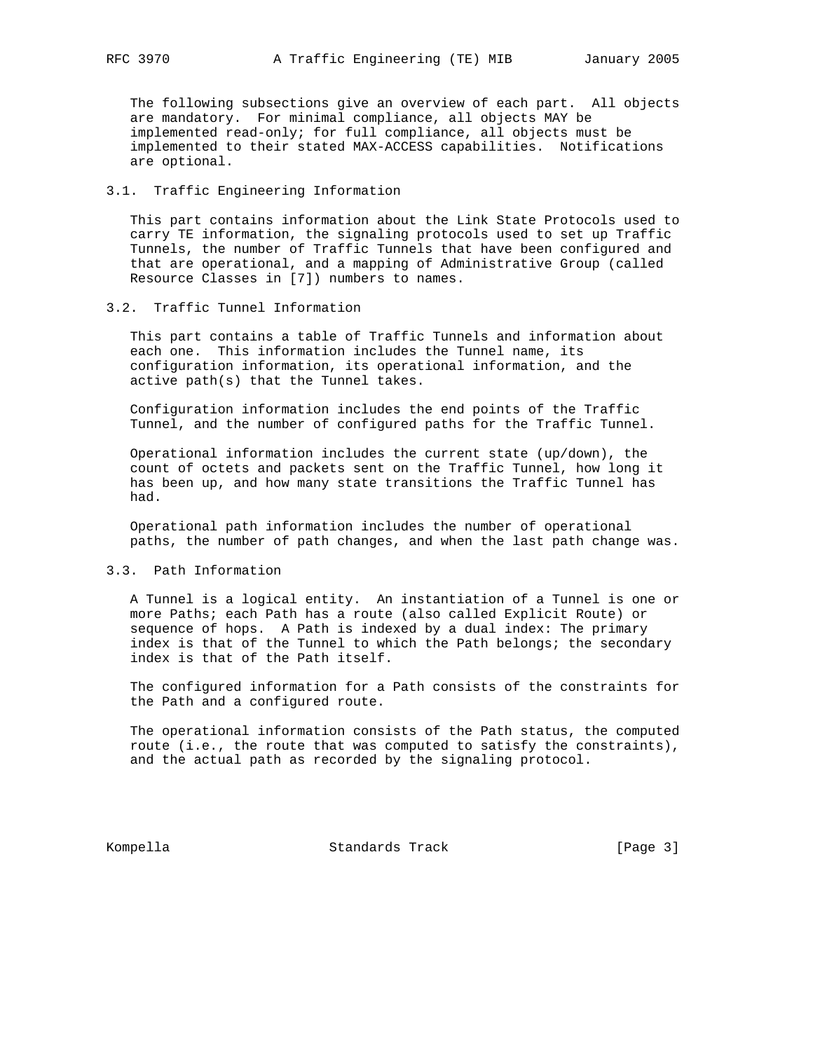The following subsections give an overview of each part. All objects are mandatory. For minimal compliance, all objects MAY be implemented read-only; for full compliance, all objects must be implemented to their stated MAX-ACCESS capabilities. Notifications are optional.

## 3.1. Traffic Engineering Information

 This part contains information about the Link State Protocols used to carry TE information, the signaling protocols used to set up Traffic Tunnels, the number of Traffic Tunnels that have been configured and that are operational, and a mapping of Administrative Group (called Resource Classes in [7]) numbers to names.

### 3.2. Traffic Tunnel Information

 This part contains a table of Traffic Tunnels and information about each one. This information includes the Tunnel name, its configuration information, its operational information, and the active path(s) that the Tunnel takes.

 Configuration information includes the end points of the Traffic Tunnel, and the number of configured paths for the Traffic Tunnel.

 Operational information includes the current state (up/down), the count of octets and packets sent on the Traffic Tunnel, how long it has been up, and how many state transitions the Traffic Tunnel has had.

 Operational path information includes the number of operational paths, the number of path changes, and when the last path change was.

## 3.3. Path Information

 A Tunnel is a logical entity. An instantiation of a Tunnel is one or more Paths; each Path has a route (also called Explicit Route) or sequence of hops. A Path is indexed by a dual index: The primary index is that of the Tunnel to which the Path belongs; the secondary index is that of the Path itself.

 The configured information for a Path consists of the constraints for the Path and a configured route.

 The operational information consists of the Path status, the computed route (i.e., the route that was computed to satisfy the constraints), and the actual path as recorded by the signaling protocol.

Kompella Standards Track [Page 3]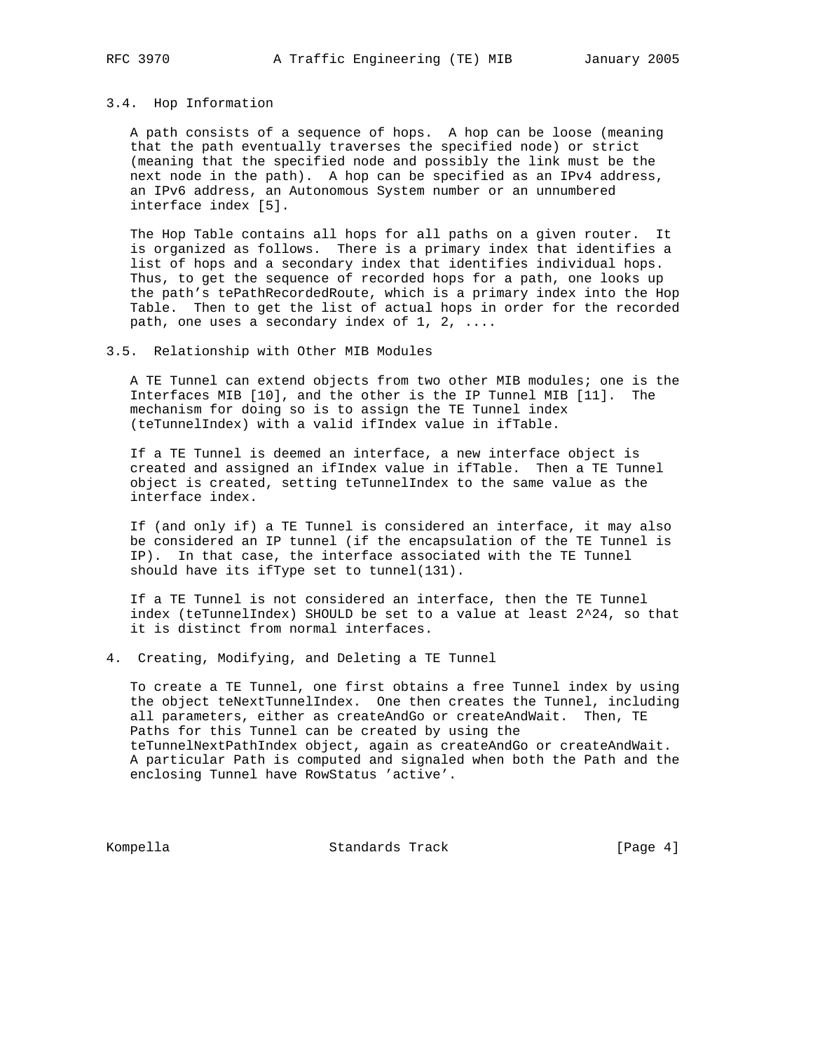#### 3.4. Hop Information

 A path consists of a sequence of hops. A hop can be loose (meaning that the path eventually traverses the specified node) or strict (meaning that the specified node and possibly the link must be the next node in the path). A hop can be specified as an IPv4 address, an IPv6 address, an Autonomous System number or an unnumbered interface index [5].

 The Hop Table contains all hops for all paths on a given router. It is organized as follows. There is a primary index that identifies a list of hops and a secondary index that identifies individual hops. Thus, to get the sequence of recorded hops for a path, one looks up the path's tePathRecordedRoute, which is a primary index into the Hop Table. Then to get the list of actual hops in order for the recorded path, one uses a secondary index of 1, 2, ....

## 3.5. Relationship with Other MIB Modules

 A TE Tunnel can extend objects from two other MIB modules; one is the Interfaces MIB [10], and the other is the IP Tunnel MIB [11]. The mechanism for doing so is to assign the TE Tunnel index (teTunnelIndex) with a valid ifIndex value in ifTable.

 If a TE Tunnel is deemed an interface, a new interface object is created and assigned an ifIndex value in ifTable. Then a TE Tunnel object is created, setting teTunnelIndex to the same value as the interface index.

 If (and only if) a TE Tunnel is considered an interface, it may also be considered an IP tunnel (if the encapsulation of the TE Tunnel is IP). In that case, the interface associated with the TE Tunnel should have its ifType set to tunnel(131).

 If a TE Tunnel is not considered an interface, then the TE Tunnel index (teTunnelIndex) SHOULD be set to a value at least 2^24, so that it is distinct from normal interfaces.

4. Creating, Modifying, and Deleting a TE Tunnel

 To create a TE Tunnel, one first obtains a free Tunnel index by using the object teNextTunnelIndex. One then creates the Tunnel, including all parameters, either as createAndGo or createAndWait. Then, TE Paths for this Tunnel can be created by using the teTunnelNextPathIndex object, again as createAndGo or createAndWait. A particular Path is computed and signaled when both the Path and the enclosing Tunnel have RowStatus 'active'.

Kompella Standards Track [Page 4]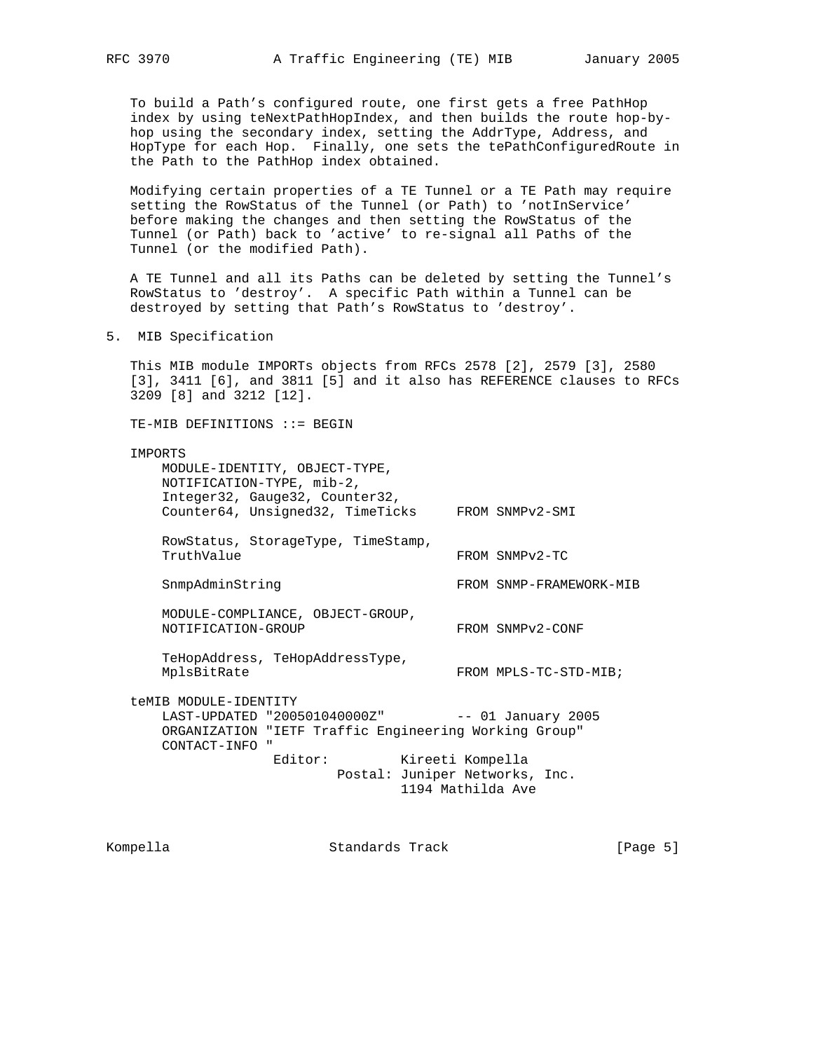To build a Path's configured route, one first gets a free PathHop index by using teNextPathHopIndex, and then builds the route hop-by hop using the secondary index, setting the AddrType, Address, and HopType for each Hop. Finally, one sets the tePathConfiguredRoute in the Path to the PathHop index obtained.

 Modifying certain properties of a TE Tunnel or a TE Path may require setting the RowStatus of the Tunnel (or Path) to 'notInService' before making the changes and then setting the RowStatus of the Tunnel (or Path) back to 'active' to re-signal all Paths of the Tunnel (or the modified Path).

 A TE Tunnel and all its Paths can be deleted by setting the Tunnel's RowStatus to 'destroy'. A specific Path within a Tunnel can be destroyed by setting that Path's RowStatus to 'destroy'.

5. MIB Specification

 This MIB module IMPORTs objects from RFCs 2578 [2], 2579 [3], 2580 [3], 3411 [6], and 3811 [5] and it also has REFERENCE clauses to RFCs 3209 [8] and 3212 [12].

TE-MIB DEFINITIONS ::= BEGIN

#### IMPORTS

 MODULE-IDENTITY, OBJECT-TYPE, NOTIFICATION-TYPE, mib-2, Integer32, Gauge32, Counter32, Counter64, Unsigned32, TimeTicks FROM SNMPv2-SMI RowStatus, StorageType, TimeStamp, TruthValue FROM SNMPv2-TC SnmpAdminString FROM SNMP-FRAMEWORK-MIB MODULE-COMPLIANCE, OBJECT-GROUP, NOTIFICATION-GROUP FROM SNMPv2-CONF TeHopAddress, TeHopAddressType, MplsBitRate FROM MPLS-TC-STD-MIB; teMIB MODULE-IDENTITY LAST-UPDATED "200501040000Z" -- 01 January 2005 ORGANIZATION "IETF Traffic Engineering Working Group" CONTACT-INFO " Editor: Kireeti Kompella Postal: Juniper Networks, Inc. 1194 Mathilda Ave

Kompella Standards Track [Page 5]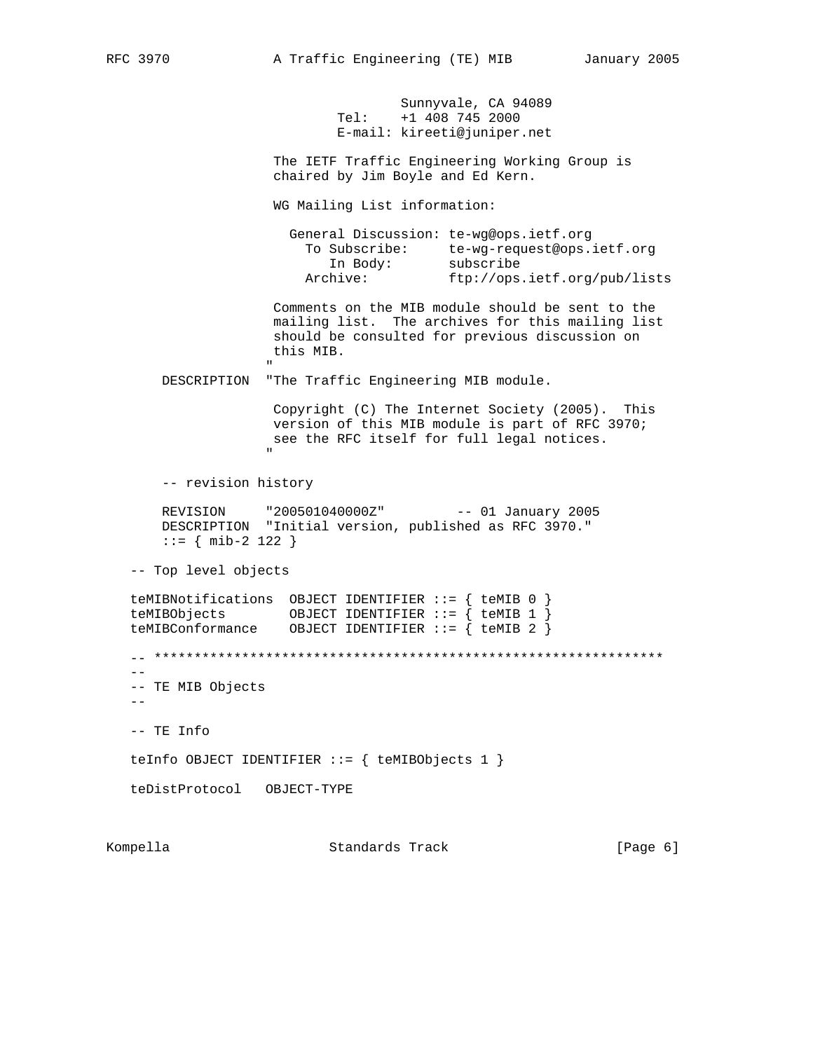Sunnyvale, CA 94089 Tel: +1 408 745 2000 E-mail: kireeti@juniper.net

 The IETF Traffic Engineering Working Group is chaired by Jim Boyle and Ed Kern.

WG Mailing List information:

| General Discussion: te-wg@ops.ietf.org |                              |
|----------------------------------------|------------------------------|
| To Subscribe:                          | te-wq-request@ops.ietf.orq   |
| In Body:                               | subscribe                    |
| Archive:                               | ftp://ops.ietf.org/pub/lists |

 Comments on the MIB module should be sent to the mailing list. The archives for this mailing list should be consulted for previous discussion on this MIB. "

DESCRIPTION "The Traffic Engineering MIB module.

 Copyright (C) The Internet Society (2005). This version of this MIB module is part of RFC 3970; see the RFC itself for full legal notices. "

-- revision history

 REVISION "200501040000Z" -- 01 January 2005 DESCRIPTION "Initial version, published as RFC 3970." ::= { mib-2 122 }

-- Top level objects

 teMIBNotifications OBJECT IDENTIFIER ::= { teMIB 0 } teMIBObjects OBJECT IDENTIFIER ::= { teMIB 1 } teMIBConformance OBJECT IDENTIFIER ::= { teMIB 2 }  $\hspace{1.3cm} - \hspace{1.3cm} - \hspace{1.3cm} - \hspace{1.3cm} - \hspace{1.3cm} - \hspace{1.3cm} - \hspace{1.3cm} - \hspace{1.3cm} - \hspace{1.3cm} - \hspace{1.3cm} - \hspace{1.3cm} - \hspace{1.3cm} - \hspace{1.3cm} - \hspace{1.3cm} - \hspace{1.3cm} - \hspace{1.3cm} - \hspace{1.3cm} - \hspace{1.3cm} - \hspace{1.3cm} - \hspace{1.3cm} - \hspace{1.3cm} - \hspace{1.3cm} -$ --

 -- TE MIB Objects  $- -$ 

-- TE Info

teInfo OBJECT IDENTIFIER ::= { teMIBObjects 1 }

teDistProtocol OBJECT-TYPE

Kompella Standards Track [Page 6]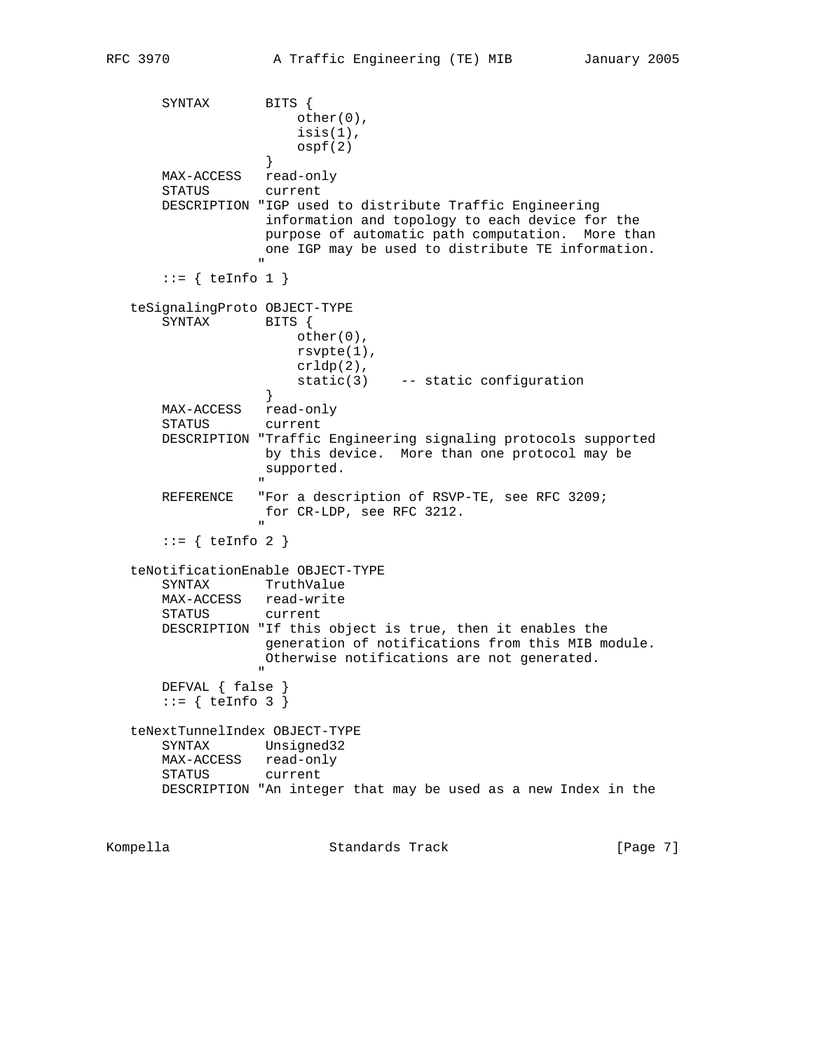SYNTAX BITS { other(0), isis(1),  $\operatorname{ospf}(2)$  } MAX-ACCESS read-only STATUS current DESCRIPTION "IGP used to distribute Traffic Engineering information and topology to each device for the purpose of automatic path computation. More than one IGP may be used to distribute TE information. "  $::=$  { teInfo 1 } teSignalingProto OBJECT-TYPE SYNTAX BITS { other(0), rsvpte(1), crldp(2), static(3) -- static configuration } } MAX-ACCESS read-only STATUS current DESCRIPTION "Traffic Engineering signaling protocols supported by this device. More than one protocol may be supported. " REFERENCE "For a description of RSVP-TE, see RFC 3209; for CR-LDP, see RFC 3212. "  $::=$  { teInfo 2 } teNotificationEnable OBJECT-TYPE SYNTAX TruthValue MAX-ACCESS read-write STATUS current DESCRIPTION "If this object is true, then it enables the generation of notifications from this MIB module. Otherwise notifications are not generated. " "The contract of the contract of the contract of the contract of the contract of the contract of the contract of the contract of the contract of the contract of the contract of the contract of the contract of the contrac DEFVAL { false }  $::=$  { teInfo 3 } teNextTunnelIndex OBJECT-TYPE SYNTAX Unsigned32 MAX-ACCESS read-only STATUS current DESCRIPTION "An integer that may be used as a new Index in the Kompella Standards Track [Page 7]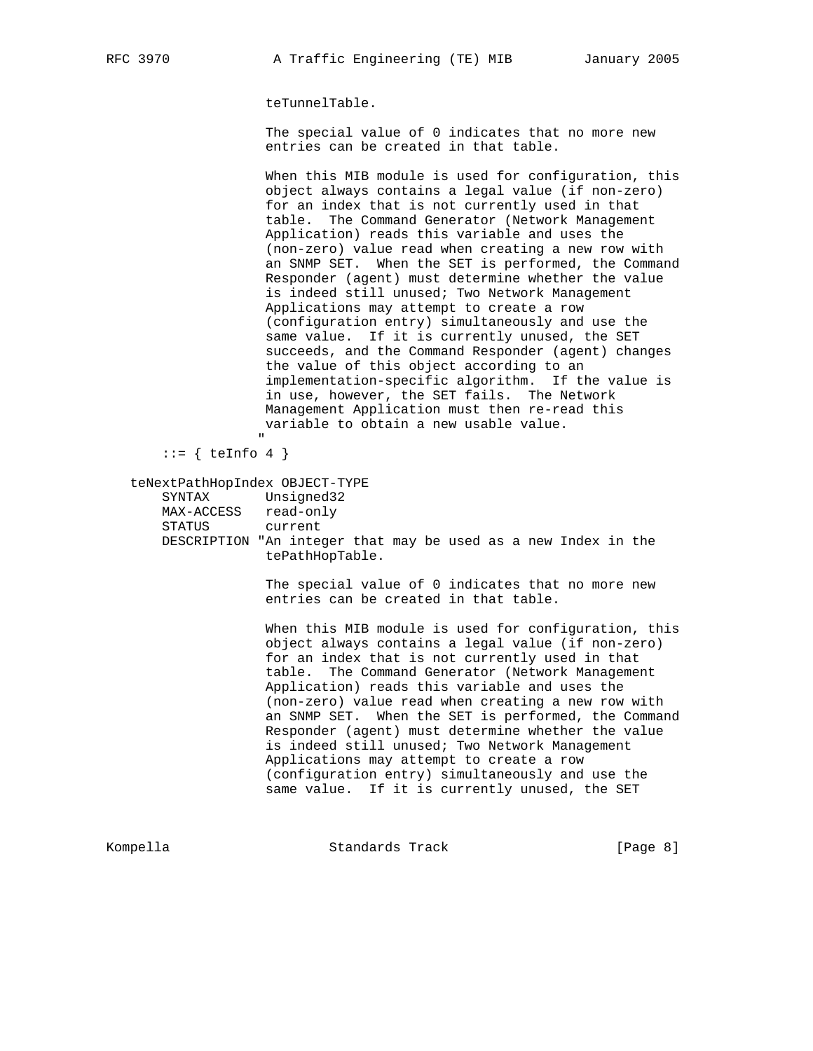teTunnelTable.

 The special value of 0 indicates that no more new entries can be created in that table.

 When this MIB module is used for configuration, this object always contains a legal value (if non-zero) for an index that is not currently used in that table. The Command Generator (Network Management Application) reads this variable and uses the (non-zero) value read when creating a new row with an SNMP SET. When the SET is performed, the Command Responder (agent) must determine whether the value is indeed still unused; Two Network Management Applications may attempt to create a row (configuration entry) simultaneously and use the same value. If it is currently unused, the SET succeeds, and the Command Responder (agent) changes the value of this object according to an implementation-specific algorithm. If the value is in use, however, the SET fails. The Network Management Application must then re-read this variable to obtain a new usable value.

 "  $::=$  { teInfo 4 }

teNextPathHopIndex OBJECT-TYPE

| SYNTAX                                                         | Unsigned32      |  |  |  |  |  |
|----------------------------------------------------------------|-----------------|--|--|--|--|--|
| MAX-ACCESS                                                     | read-only       |  |  |  |  |  |
| STATUS                                                         | current         |  |  |  |  |  |
| DESCRIPTION "An integer that may be used as a new Index in the | tePathHopTable. |  |  |  |  |  |
|                                                                |                 |  |  |  |  |  |

 The special value of 0 indicates that no more new entries can be created in that table.

 When this MIB module is used for configuration, this object always contains a legal value (if non-zero) for an index that is not currently used in that table. The Command Generator (Network Management Application) reads this variable and uses the (non-zero) value read when creating a new row with an SNMP SET. When the SET is performed, the Command Responder (agent) must determine whether the value is indeed still unused; Two Network Management Applications may attempt to create a row (configuration entry) simultaneously and use the same value. If it is currently unused, the SET

Kompella Chamber Standards Track Chamber (Page 8)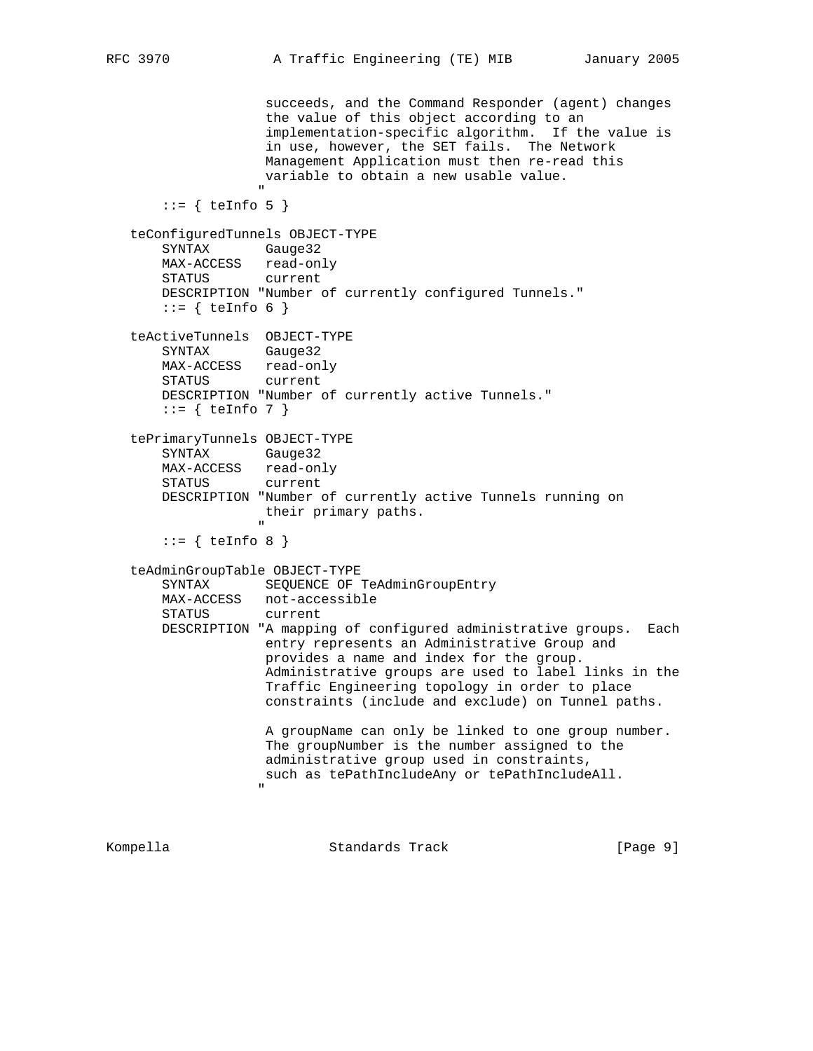```
 succeeds, and the Command Responder (agent) changes
                      the value of this object according to an
                      implementation-specific algorithm. If the value is
                      in use, however, the SET fails. The Network
                      Management Application must then re-read this
                      variable to obtain a new usable value.
" "The contract of the contract of the contract of the contract of the contract of the contract of the contract of the contract of the contract of the contract of the contract of the contract of the contract of the contrac
       ::= { teInfo 5 }
    teConfiguredTunnels OBJECT-TYPE
        SYNTAX Gauge32
        MAX-ACCESS read-only
        STATUS current
        DESCRIPTION "Number of currently configured Tunnels."
       ::= { teInfo 6 }
    teActiveTunnels OBJECT-TYPE
        SYNTAX Gauge32
        MAX-ACCESS read-only
        STATUS current
        DESCRIPTION "Number of currently active Tunnels."
       ::= { teInfo 7 }
    tePrimaryTunnels OBJECT-TYPE
        SYNTAX Gauge32
        MAX-ACCESS read-only
        STATUS current
        DESCRIPTION "Number of currently active Tunnels running on
                      their primary paths.
 "
       ::= { teInfo 8 }
    teAdminGroupTable OBJECT-TYPE
       SYNTAX SEQUENCE OF TeAdminGroupEntry
        MAX-ACCESS not-accessible
        STATUS current
        DESCRIPTION "A mapping of configured administrative groups. Each
                      entry represents an Administrative Group and
                      provides a name and index for the group.
                      Administrative groups are used to label links in the
                      Traffic Engineering topology in order to place
                      constraints (include and exclude) on Tunnel paths.
                      A groupName can only be linked to one group number.
                      The groupNumber is the number assigned to the
                      administrative group used in constraints,
                      such as tePathIncludeAny or tePathIncludeAll.
 "
```

| [Page 9]<br>Standards Track<br>Kompella |
|-----------------------------------------|
|-----------------------------------------|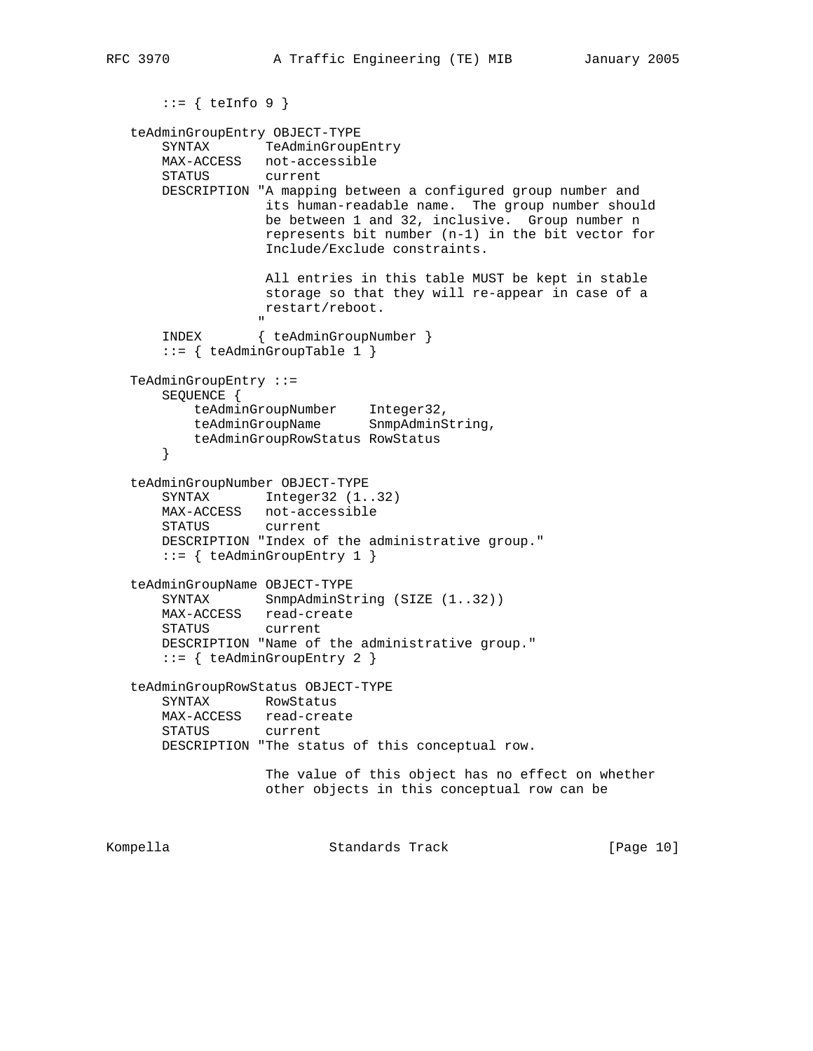```
::= { teInfo 9 }
    teAdminGroupEntry OBJECT-TYPE
        SYNTAX TeAdminGroupEntry
        MAX-ACCESS not-accessible
        STATUS current
        DESCRIPTION "A mapping between a configured group number and
                      its human-readable name. The group number should
                      be between 1 and 32, inclusive. Group number n
                       represents bit number (n-1) in the bit vector for
                       Include/Exclude constraints.
                       All entries in this table MUST be kept in stable
                       storage so that they will re-appear in case of a
                      restart/reboot.
" "The contract of the contract of the contract of the contract of the contract of the contract of the contract of the contract of the contract of the contract of the contract of the contract of the contract of the contrac
        INDEX { teAdminGroupNumber }
        ::= { teAdminGroupTable 1 }
    TeAdminGroupEntry ::=
        SEQUENCE {
            teAdminGroupNumber Integer32,
           teAdminGroupName SnmpAdminString,
            teAdminGroupRowStatus RowStatus
        }
    teAdminGroupNumber OBJECT-TYPE
       SYNTAX Integer32 (1..32)
 MAX-ACCESS not-accessible
 STATUS current
        DESCRIPTION "Index of the administrative group."
        ::= { teAdminGroupEntry 1 }
    teAdminGroupName OBJECT-TYPE
       SYNTAX SnmpAdminString (SIZE (1..32))
        MAX-ACCESS read-create
        STATUS current
        DESCRIPTION "Name of the administrative group."
        ::= { teAdminGroupEntry 2 }
    teAdminGroupRowStatus OBJECT-TYPE
        SYNTAX RowStatus
        MAX-ACCESS read-create
        STATUS current
        DESCRIPTION "The status of this conceptual row.
                       The value of this object has no effect on whether
                       other objects in this conceptual row can be
```
Kompella Standards Track [Page 10]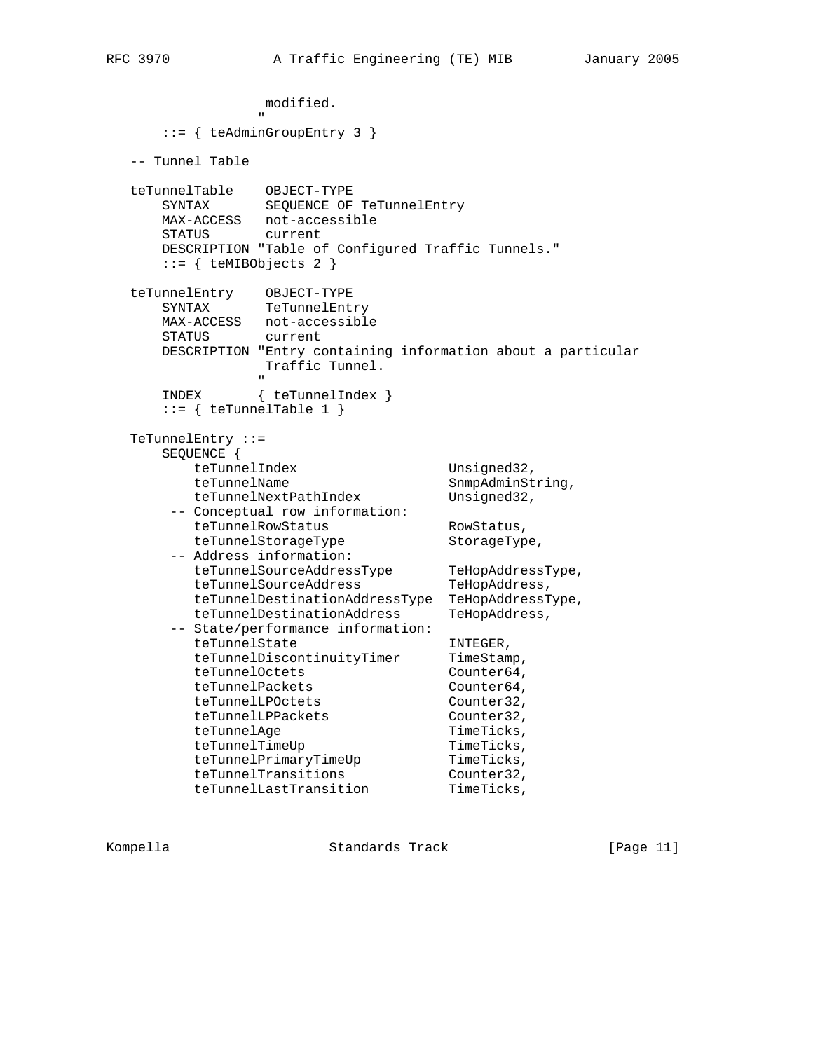```
 modified.
" "The contract of the contract of the contract of the contract of the contract of the contract of the contract of the contract of the contract of the contract of the contract of the contract of the contract of the contrac
        ::= { teAdminGroupEntry 3 }
   -- Tunnel Table
 teTunnelTable OBJECT-TYPE
 SYNTAX SEQUENCE OF TeTunnelEntry
       MAX-ACCESS not-accessible
       STATUS current
       DESCRIPTION "Table of Configured Traffic Tunnels."
       ::= { teMIBObjects 2 }
 teTunnelEntry OBJECT-TYPE
 SYNTAX TeTunnelEntry
       MAX-ACCESS not-accessible
       STATUS current
       DESCRIPTION "Entry containing information about a particular
                    Traffic Tunnel.
" "The contract of the contract of the contract of the contract of the contract of the contract of the contract of the contract of the contract of the contract of the contract of the contract of the contract of the contrac
       INDEX { teTunnelIndex }
       ::= { teTunnelTable 1 }
   TeTunnelEntry ::=
       SEQUENCE {
          teTunnelIndex Unsigned32,
          teTunnelName SnmpAdminString,
           teTunnelNextPathIndex Unsigned32,
        -- Conceptual row information:
          teTunnelRowStatus RowStatus,
teTunnelStorageType storageType,
 -- Address information:
 teTunnelSourceAddressType TeHopAddressType,
teTunnelSourceAddress TeHopAddress,
 teTunnelDestinationAddressType TeHopAddressType,
teTunnelDestinationAddress TeHopAddress,
         -- State/performance information:
          teTunnelState INTEGER,
teTunnelDiscontinuityTimer TimeStamp,
teTunnelOctets Counter64,
          teTunnelPackets Counter64,
          teTunnelLPOctets Counter32,
           teTunnelLPPackets Counter32,
          teTunnelAge TimeTicks,
teTunnelTimeUp TimeTicks,
teTunnelPrimaryTimeUp TimeTicks,
teTunnelTransitions Counter32,
teTunnelLastTransition TimeTicks,
```
Kompella Standards Track [Page 11]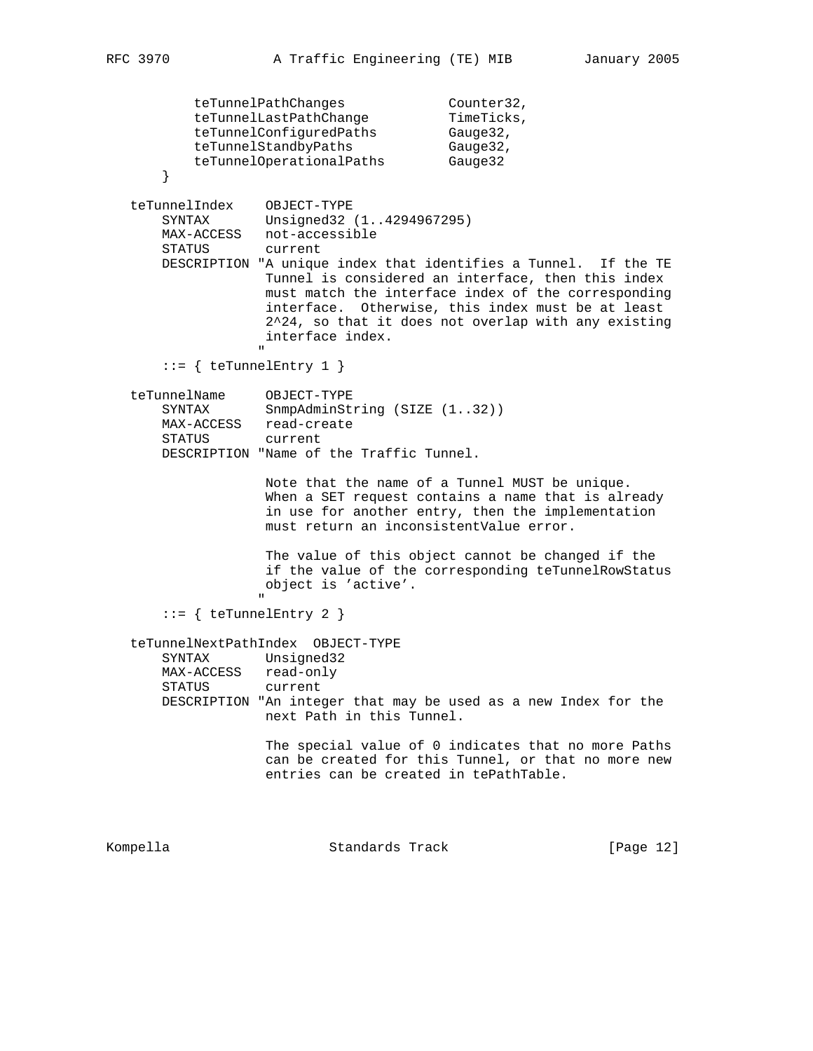```
teTunnelPathChanges Counter32,
teTunnelLastPathChange  TimeTicks,
teTunnelConfiguredPaths Gauge32,
           teTunnelStandbyPaths Gauge32,
            teTunnelOperationalPaths Gauge32
        }
 teTunnelIndex OBJECT-TYPE
 SYNTAX Unsigned32 (1..4294967295)
       MAX-ACCESS not-accessible
       STATUS current
       DESCRIPTION "A unique index that identifies a Tunnel. If the TE
                    Tunnel is considered an interface, then this index
                     must match the interface index of the corresponding
                     interface. Otherwise, this index must be at least
                     2^24, so that it does not overlap with any existing
                     interface index.
 "
       ::= { teTunnelEntry 1 }
 teTunnelName OBJECT-TYPE
SYNTAX SnmpAdminString (SIZE (1..32))
       MAX-ACCESS read-create
       STATUS current
       DESCRIPTION "Name of the Traffic Tunnel.
                     Note that the name of a Tunnel MUST be unique.
                     When a SET request contains a name that is already
                     in use for another entry, then the implementation
                     must return an inconsistentValue error.
                     The value of this object cannot be changed if the
                     if the value of the corresponding teTunnelRowStatus
                     object is 'active'.
" "The contract of the contract of the contract of the contract of the contract of the contract of the contract of the contract of the contract of the contract of the contract of the contract of the contract of the contrac
       ::= { teTunnelEntry 2 }
    teTunnelNextPathIndex OBJECT-TYPE
       SYNTAX Unsigned32
       MAX-ACCESS read-only
       STATUS current
       DESCRIPTION "An integer that may be used as a new Index for the
                     next Path in this Tunnel.
                     The special value of 0 indicates that no more Paths
                     can be created for this Tunnel, or that no more new
                     entries can be created in tePathTable.
Kompella Chambridge Standards Track [Page 12]
```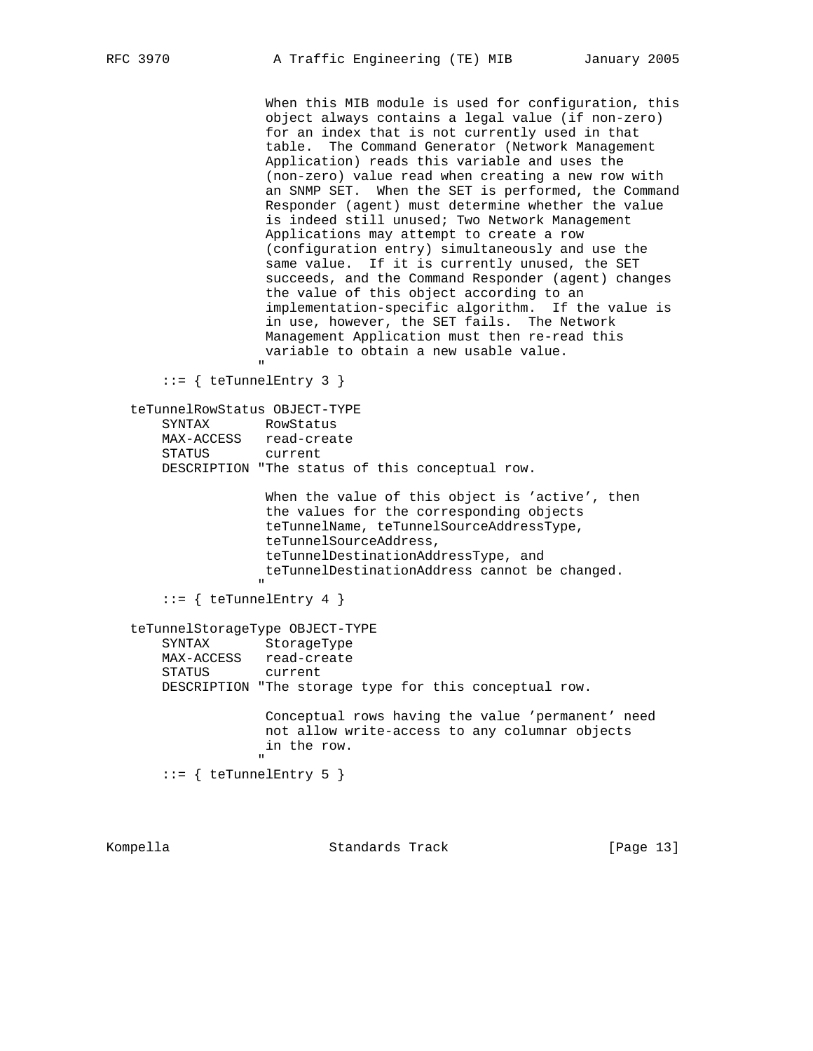When this MIB module is used for configuration, this object always contains a legal value (if non-zero) for an index that is not currently used in that table. The Command Generator (Network Management Application) reads this variable and uses the (non-zero) value read when creating a new row with an SNMP SET. When the SET is performed, the Command Responder (agent) must determine whether the value is indeed still unused; Two Network Management Applications may attempt to create a row (configuration entry) simultaneously and use the same value. If it is currently unused, the SET succeeds, and the Command Responder (agent) changes the value of this object according to an implementation-specific algorithm. If the value is in use, however, the SET fails. The Network Management Application must then re-read this variable to obtain a new usable value. " "The contract of the contract of the contract of the contract of the contract of the contract of the contract of the contract of the contract of the contract of the contract of the contract of the contract of the contrac  $::=$  { teTunnelEntry 3 } teTunnelRowStatus OBJECT-TYPE

 SYNTAX RowStatus MAX-ACCESS read-create STATUS current DESCRIPTION "The status of this conceptual row.

When the value of this object is 'active', then the values for the corresponding objects teTunnelName, teTunnelSourceAddressType, teTunnelSourceAddress, teTunnelDestinationAddressType, and teTunnelDestinationAddress cannot be changed. " "The contract of the contract of the contract of the contract of the contract of the contract of the contract of the contract of the contract of the contract of the contract of the contract of the contract of the contrac

```
 ::= { teTunnelEntry 4 }
```
teTunnelStorageType OBJECT-TYPE

 SYNTAX StorageType MAX-ACCESS read-create STATUS current DESCRIPTION "The storage type for this conceptual row. Conceptual rows having the value 'permanent' need not allow write-access to any columnar objects in the row.

 $::=$  { teTunnelEntry 5 }

" "The contract of the contract of the contract of the contract of the contract of the contract of the contract of the contract of the contract of the contract of the contract of the contract of the contract of the contrac

Kompella Standards Track [Page 13]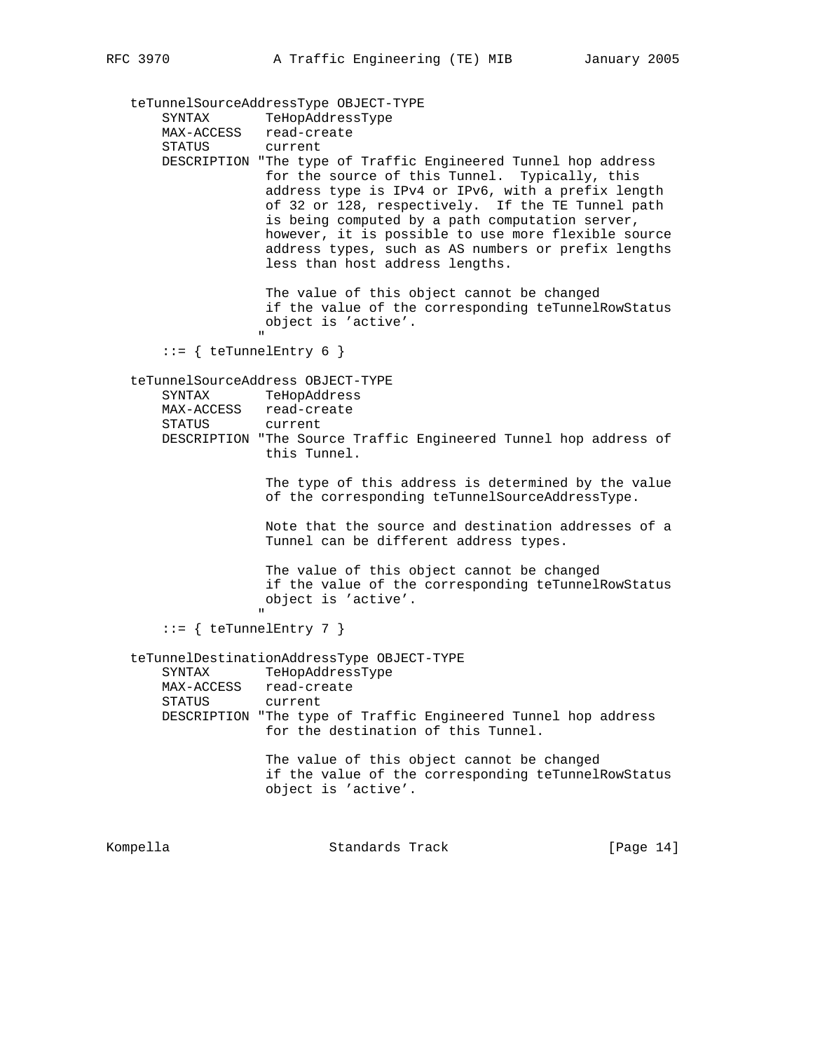teTunnelSourceAddressType OBJECT-TYPE SYNTAX TeHopAddressType MAX-ACCESS read-create STATUS current DESCRIPTION "The type of Traffic Engineered Tunnel hop address for the source of this Tunnel. Typically, this address type is IPv4 or IPv6, with a prefix length of 32 or 128, respectively. If the TE Tunnel path is being computed by a path computation server, however, it is possible to use more flexible source address types, such as AS numbers or prefix lengths less than host address lengths. The value of this object cannot be changed if the value of the corresponding teTunnelRowStatus object is 'active'. " "The contract of the contract of the contract of the contract of the contract of the contract of the contract of the contract of the contract of the contract of the contract of the contract of the contract of the contrac ::= { teTunnelEntry 6 } teTunnelSourceAddress OBJECT-TYPE SYNTAX TeHopAddress MAX-ACCESS read-create STATUS current DESCRIPTION "The Source Traffic Engineered Tunnel hop address of this Tunnel. The type of this address is determined by the value of the corresponding teTunnelSourceAddressType. Note that the source and destination addresses of a Tunnel can be different address types. The value of this object cannot be changed if the value of the corresponding teTunnelRowStatus object is 'active'. " ::= { teTunnelEntry 7 } teTunnelDestinationAddressType OBJECT-TYPE SYNTAX TeHopAddressType MAX-ACCESS read-create<br>STATUS current STATUS DESCRIPTION "The type of Traffic Engineered Tunnel hop address for the destination of this Tunnel. The value of this object cannot be changed if the value of the corresponding teTunnelRowStatus object is 'active'.

Kompella **Standards Track** [Page 14]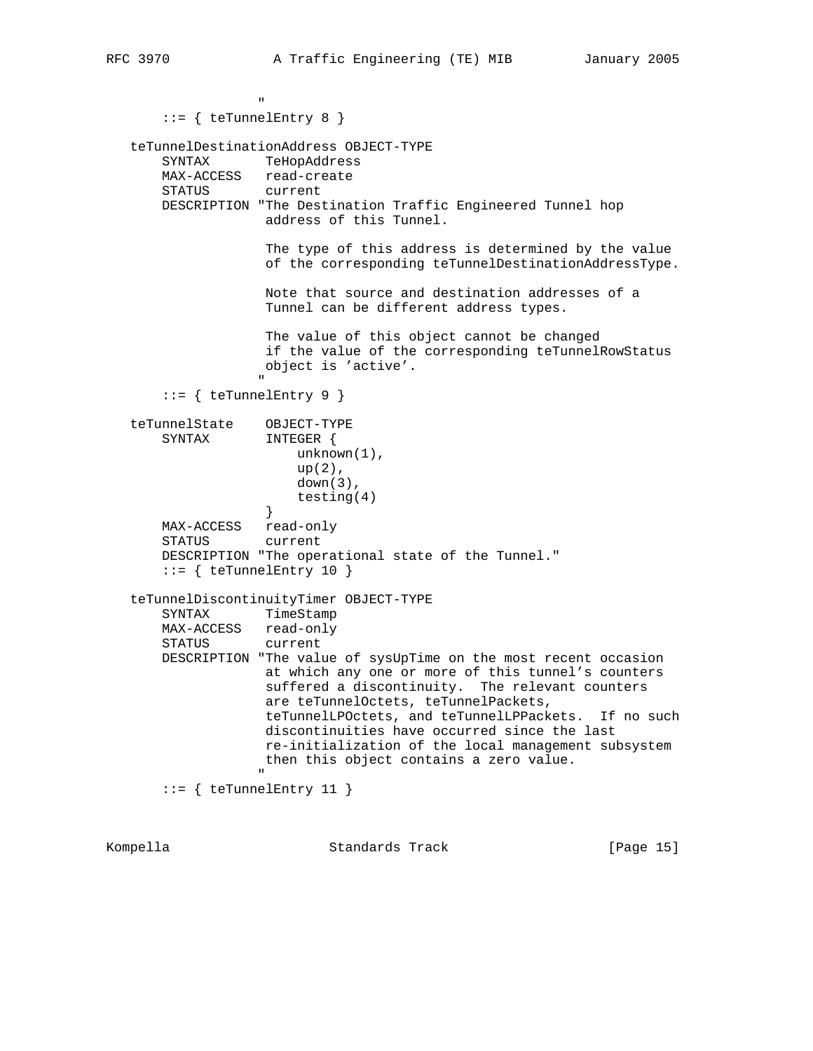" "The contract of the contract of the contract of the contract of the contract of the contract of the contract of the contract of the contract of the contract of the contract of the contract of the contract of the contrac ::= { teTunnelEntry 8 } teTunnelDestinationAddress OBJECT-TYPE SYNTAX TeHopAddress MAX-ACCESS read-create STATUS current DESCRIPTION "The Destination Traffic Engineered Tunnel hop address of this Tunnel. The type of this address is determined by the value of the corresponding teTunnelDestinationAddressType. Note that source and destination addresses of a Tunnel can be different address types. The value of this object cannot be changed if the value of the corresponding teTunnelRowStatus object is 'active'. " "The contract of the contract of the contract of the contract of the contract of the contract of the contract of the contract of the contract of the contract of the contract of the contract of the contract of the contrac  $::=$  { teTunnelEntry 9 } teTunnelState OBJECT-TYPE SYNTAX INTEGER { unknown(1),  $up(2)$ , down(3), testing(4) } MAX-ACCESS read-only<br>STATUS current STATUS DESCRIPTION "The operational state of the Tunnel."  $::=$  { teTunnelEntry 10 } teTunnelDiscontinuityTimer OBJECT-TYPE TimeStamp MAX-ACCESS read-only STATUS current DESCRIPTION "The value of sysUpTime on the most recent occasion at which any one or more of this tunnel's counters suffered a discontinuity. The relevant counters are teTunnelOctets, teTunnelPackets, teTunnelLPOctets, and teTunnelLPPackets. If no such discontinuities have occurred since the last re-initialization of the local management subsystem then this object contains a zero value. " "The contract of the contract of the contract of the contract of the contract of the contract of the contract of the contract of the contract of the contract of the contract of the contract of the contract of the contrac ::= { teTunnelEntry 11 }

| Kompella | Standards Track | [Page 15] |  |
|----------|-----------------|-----------|--|
|          |                 |           |  |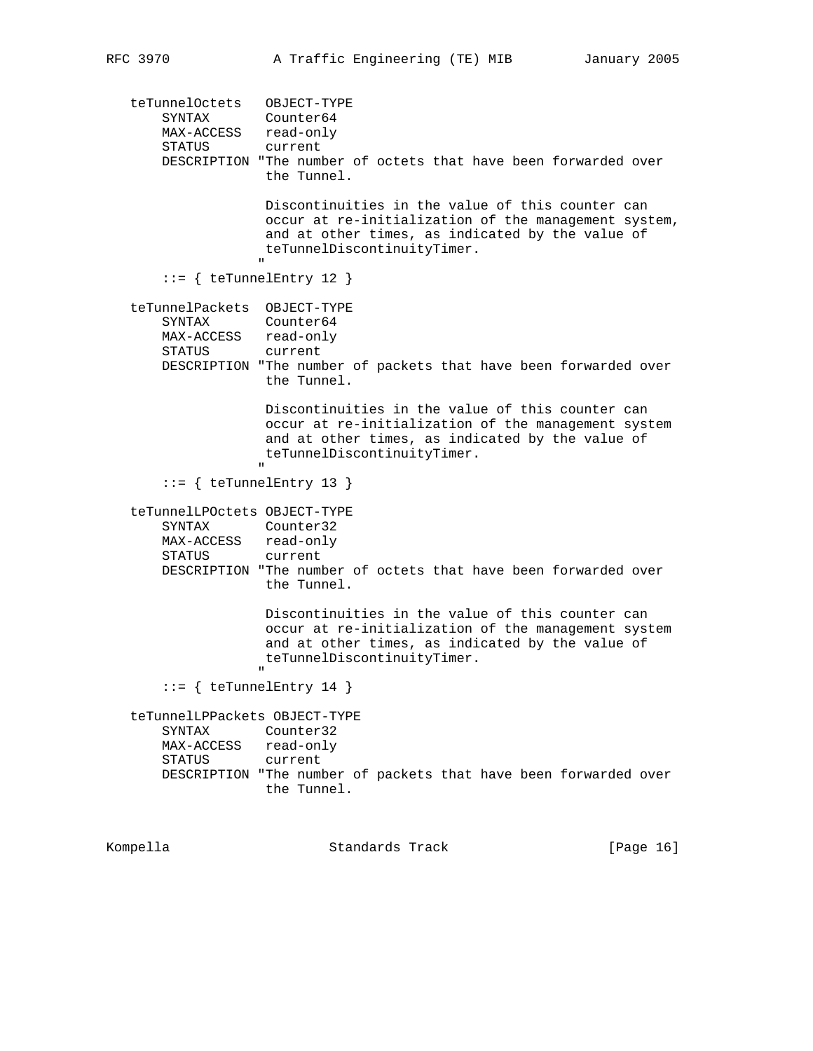teTunnelOctets OBJECT-TYPE SYNTAX Counter64 MAX-ACCESS read-only STATUS current DESCRIPTION "The number of octets that have been forwarded over the Tunnel. Discontinuities in the value of this counter can occur at re-initialization of the management system, and at other times, as indicated by the value of teTunnelDiscontinuityTimer. " ::= { teTunnelEntry 12 } teTunnelPackets OBJECT-TYPE SYNTAX Counter64 MAX-ACCESS read-only<br>STATUS current STATUS DESCRIPTION "The number of packets that have been forwarded over the Tunnel. Discontinuities in the value of this counter can occur at re-initialization of the management system and at other times, as indicated by the value of teTunnelDiscontinuityTimer. " "The contract of the contract of the contract of the contract of the contract of the contract of the contract of the contract of the contract of the contract of the contract of the contract of the contract of the contrac ::= { teTunnelEntry 13 } teTunnelLPOctets OBJECT-TYPE SYNTAX Counter32 MAX-ACCESS read-only STATUS current DESCRIPTION "The number of octets that have been forwarded over the Tunnel. Discontinuities in the value of this counter can occur at re-initialization of the management system and at other times, as indicated by the value of teTunnelDiscontinuityTimer. " "The contract of the contract of the contract of the contract of the contract of the contract of the contract of the contract of the contract of the contract of the contract of the contract of the contract of the contrac ::= { teTunnelEntry 14 } teTunnelLPPackets OBJECT-TYPE SYNTAX Counter32 MAX-ACCESS read-only STATUS current DESCRIPTION "The number of packets that have been forwarded over the Tunnel.

Kompella Standards Track [Page 16]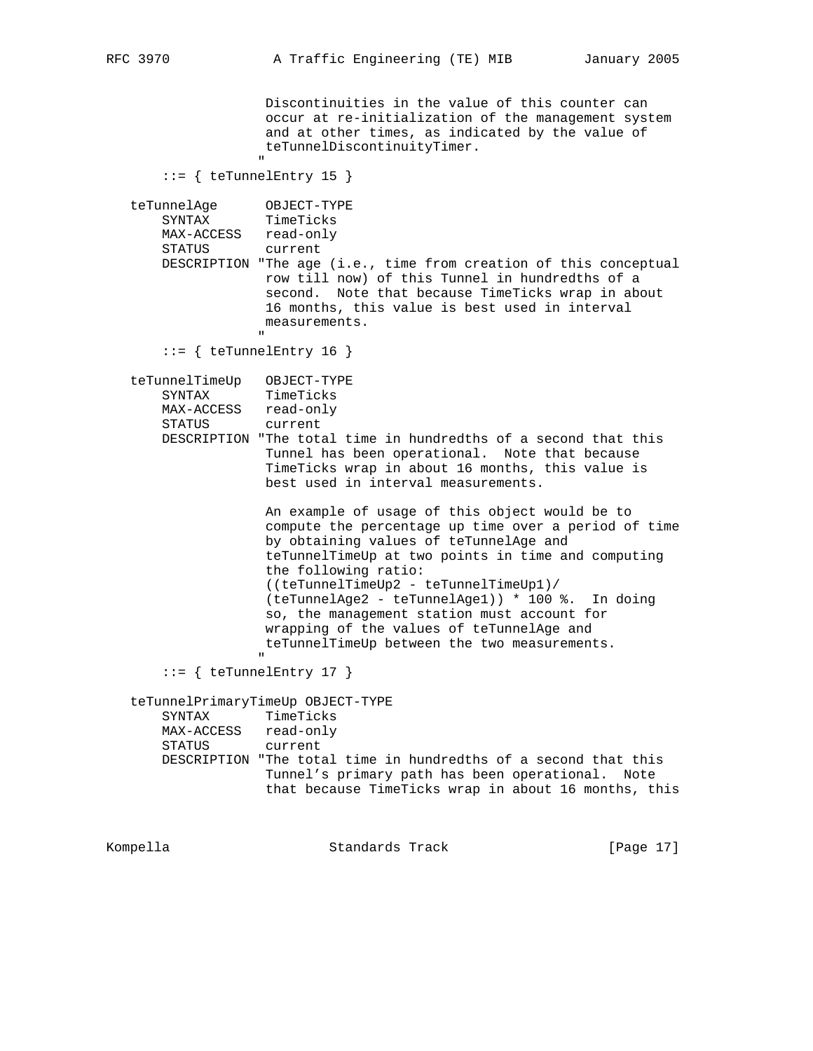Discontinuities in the value of this counter can occur at re-initialization of the management system and at other times, as indicated by the value of teTunnelDiscontinuityTimer. " "The contract of the contract of the contract of the contract of the contract of the contract of the contract of the contract of the contract of the contract of the contract of the contract of the contract of the contrac ::= { teTunnelEntry 15 } teTunnelAge OBJECT-TYPE SYNTAX TimeTicks MAX-ACCESS read-only STATUS current DESCRIPTION "The age (i.e., time from creation of this conceptual row till now) of this Tunnel in hundredths of a second. Note that because TimeTicks wrap in about 16 months, this value is best used in interval measurements. " "The contract of the contract of the contract of the contract of the contract of the contract of the contract of the contract of the contract of the contract of the contract of the contract of the contract of the contrac  $::=$  { teTunnelEntry 16 } teTunnelTimeUp OBJECT-TYPE SYNTAX TimeTicks MAX-ACCESS read-only STATUS current DESCRIPTION "The total time in hundredths of a second that this Tunnel has been operational. Note that because TimeTicks wrap in about 16 months, this value is best used in interval measurements. An example of usage of this object would be to compute the percentage up time over a period of time by obtaining values of teTunnelAge and teTunnelTimeUp at two points in time and computing the following ratio: ((teTunnelTimeUp2 - teTunnelTimeUp1)/ (teTunnelAge2 - teTunnelAge1)) \* 100 %. In doing so, the management station must account for wrapping of the values of teTunnelAge and teTunnelTimeUp between the two measurements. " ::= { teTunnelEntry 17 } teTunnelPrimaryTimeUp OBJECT-TYPE SYNTAX TimeTicks MAX-ACCESS read-only STATUS current DESCRIPTION "The total time in hundredths of a second that this Tunnel's primary path has been operational. Note that because TimeTicks wrap in about 16 months, this

Kompella Standards Track [Page 17]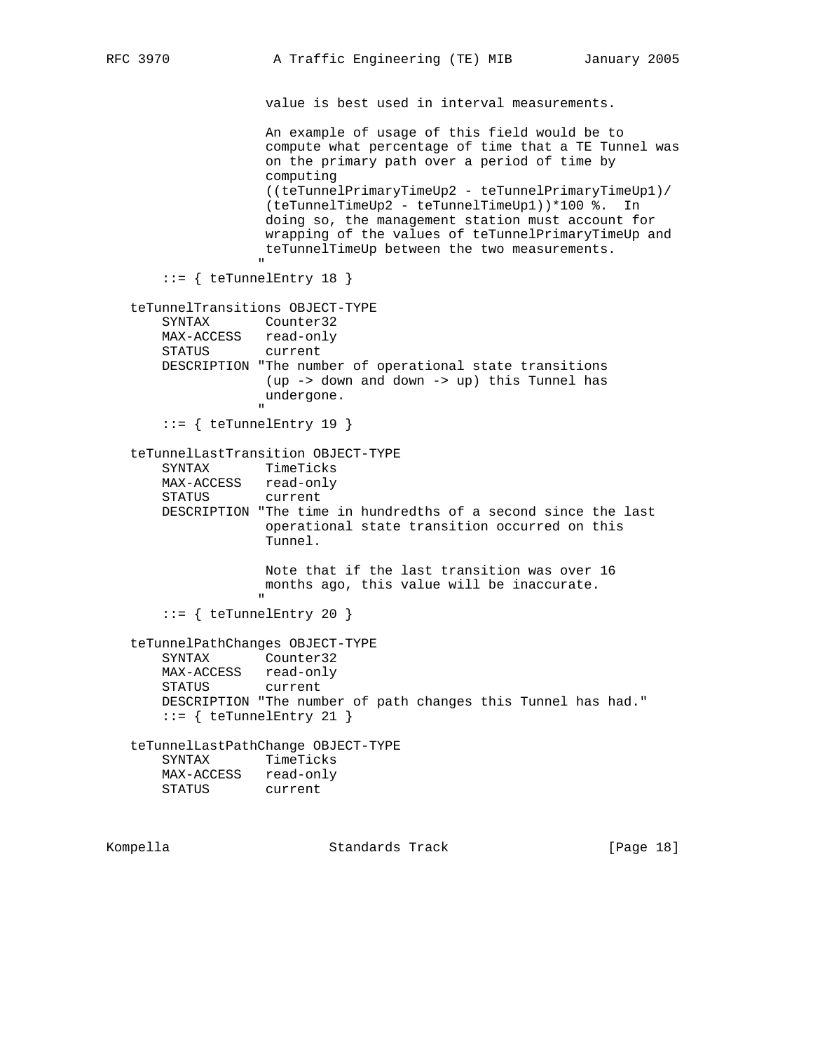value is best used in interval measurements. An example of usage of this field would be to compute what percentage of time that a TE Tunnel was on the primary path over a period of time by computing ((teTunnelPrimaryTimeUp2 - teTunnelPrimaryTimeUp1)/ (teTunnelTimeUp2 - teTunnelTimeUp1))\*100 %. In doing so, the management station must account for wrapping of the values of teTunnelPrimaryTimeUp and teTunnelTimeUp between the two measurements. " ::= { teTunnelEntry 18 } teTunnelTransitions OBJECT-TYPE SYNTAX Counter32 MAX-ACCESS read-only STATUS current DESCRIPTION "The number of operational state transitions (up -> down and down -> up) this Tunnel has undergone. " "The contract of the contract of the contract of the contract of the contract of the contract of the contract of the contract of the contract of the contract of the contract of the contract of the contract of the contrac  $::=$  { teTunnelEntry 19 } teTunnelLastTransition OBJECT-TYPE SYNTAX TimeTicks MAX-ACCESS read-only STATUS current DESCRIPTION "The time in hundredths of a second since the last operational state transition occurred on this Tunnel. Note that if the last transition was over 16 months ago, this value will be inaccurate. " "The contract of the contract of the contract of the contract of the contract of the contract of the contract of the contract of the contract of the contract of the contract of the contract of the contract of the contrac ::= { teTunnelEntry 20 } teTunnelPathChanges OBJECT-TYPE SYNTAX Counter32 MAX-ACCESS read-only STATUS current DESCRIPTION "The number of path changes this Tunnel has had."  $::=$  { teTunnelEntry 21 } teTunnelLastPathChange OBJECT-TYPE SYNTAX TimeTicks MAX-ACCESS read-only STATUS current

Kompella Standards Track [Page 18]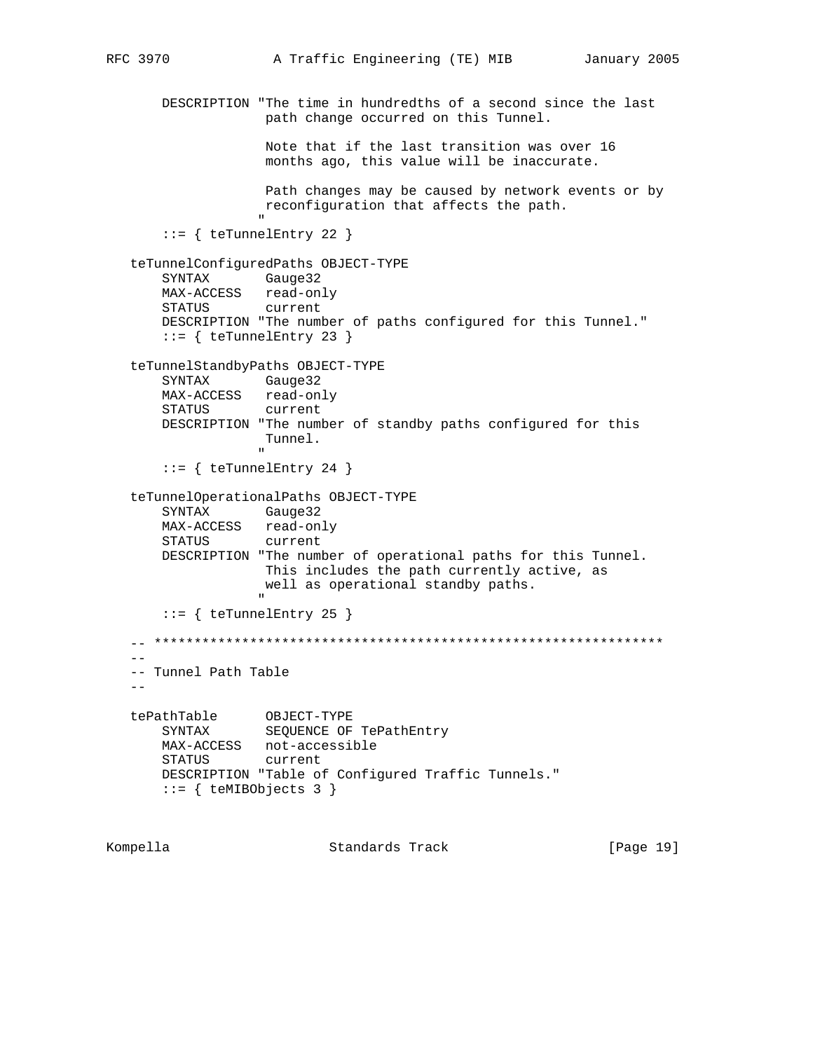```
 DESCRIPTION "The time in hundredths of a second since the last
                          path change occurred on this Tunnel.
                          Note that if the last transition was over 16
                          months ago, this value will be inaccurate.
                          Path changes may be caused by network events or by
                         reconfiguration that affects the path.
 "
         ::= { teTunnelEntry 22 }
    teTunnelConfiguredPaths OBJECT-TYPE
         SYNTAX Gauge32
         MAX-ACCESS read-only
         STATUS current
         DESCRIPTION "The number of paths configured for this Tunnel."
        ::= { teTunnelEntry 23 }
    teTunnelStandbyPaths OBJECT-TYPE
         SYNTAX Gauge32
         MAX-ACCESS read-only
         STATUS current
         DESCRIPTION "The number of standby paths configured for this
                         Tunnel.
" "The contract of the contract of the contract of the contract of the contract of the contract of the contract of the contract of the contract of the contract of the contract of the contract of the contract of the contrac
        ::= { teTunnelEntry 24 }
    teTunnelOperationalPaths OBJECT-TYPE
         SYNTAX Gauge32
         MAX-ACCESS read-only
         STATUS current
         DESCRIPTION "The number of operational paths for this Tunnel.
                         This includes the path currently active, as
                         well as operational standby paths.
" "The contract of the contract of the contract of the contract of the contract of the contract of the contract of the contract of the contract of the contract of the contract of the contract of the contract of the contrac
        ::= { teTunnelEntry 25 }
    -- ****************************************************************
 --
    -- Tunnel Path Table
   - - tePathTable OBJECT-TYPE
 SYNTAX SEQUENCE OF TePathEntry
         MAX-ACCESS not-accessible
         STATUS current
         DESCRIPTION "Table of Configured Traffic Tunnels."
        ::= { teMIBObjects 3 }
```
Kompella Standards Track [Page 19]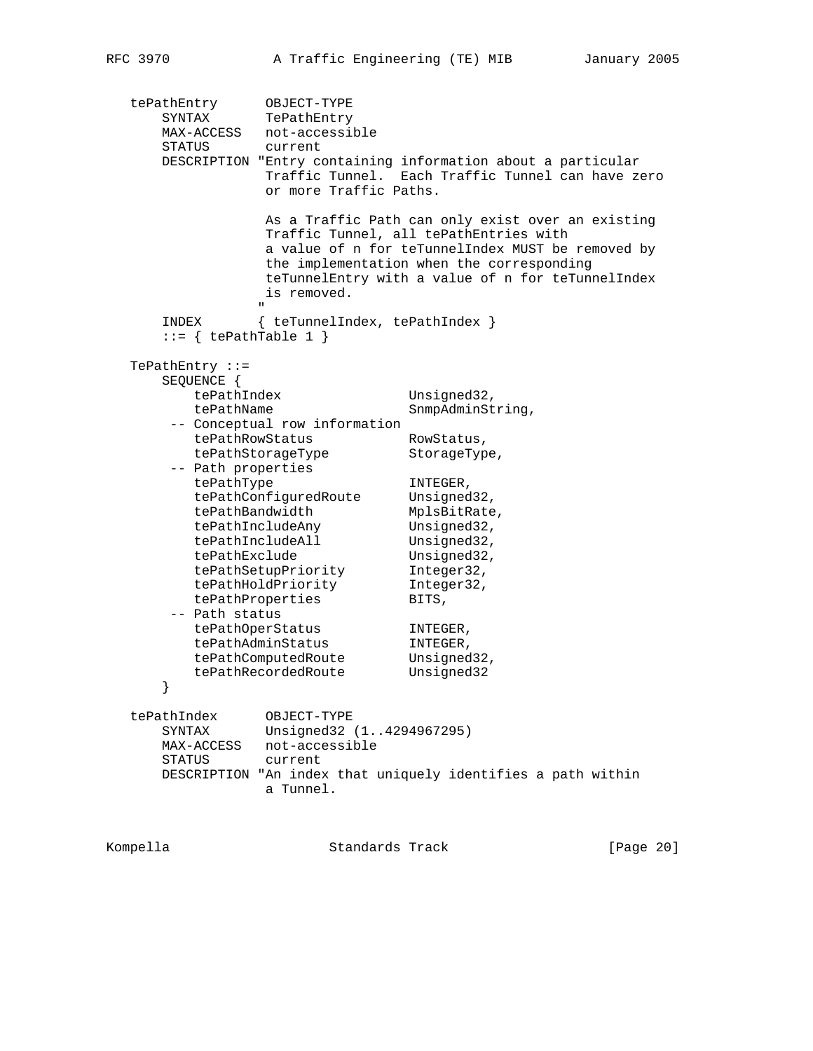```
 tePathEntry OBJECT-TYPE
 SYNTAX TePathEntry
 MAX-ACCESS not-accessible
 STATUS current
      DESCRIPTION "Entry containing information about a particular
               Traffic Tunnel. Each Traffic Tunnel can have zero
               or more Traffic Paths.
                As a Traffic Path can only exist over an existing
                Traffic Tunnel, all tePathEntries with
                a value of n for teTunnelIndex MUST be removed by
                the implementation when the corresponding
                teTunnelEntry with a value of n for teTunnelIndex
               is removed.
 "
      INDEX { teTunnelIndex, tePathIndex }
     ::= { tePathTable 1 }
   TePathEntry ::=
      SEQUENCE {
        tePathIndex Unsigned32,
        tePathName SnmpAdminString,
       -- Conceptual row information
tePathRowStatus RowStatus,
 tePathStorageType StorageType,
 -- Path properties
tePathType INTEGER,
tePathConfiguredRoute Unsigned32,
tePathBandwidth MplsBitRate,
tePathIncludeAny Unsigned32,
tePathIncludeAll Unsigned32,
tePathExclude Unsigned32,
 tePathSetupPriority Integer32,
 tePathHoldPriority Integer32,
tePathProperties BITS,
      -- Path status
tePathOperStatus INTEGER,
 tePathAdminStatus INTEGER,
tePathComputedRoute Unsigned32,
tePathRecordedRoute Unsigned32
      }
 tePathIndex OBJECT-TYPE
 SYNTAX Unsigned32 (1..4294967295)
      MAX-ACCESS not-accessible
      STATUS current
      DESCRIPTION "An index that uniquely identifies a path within
               a Tunnel.
```
Kompella Standards Track [Page 20]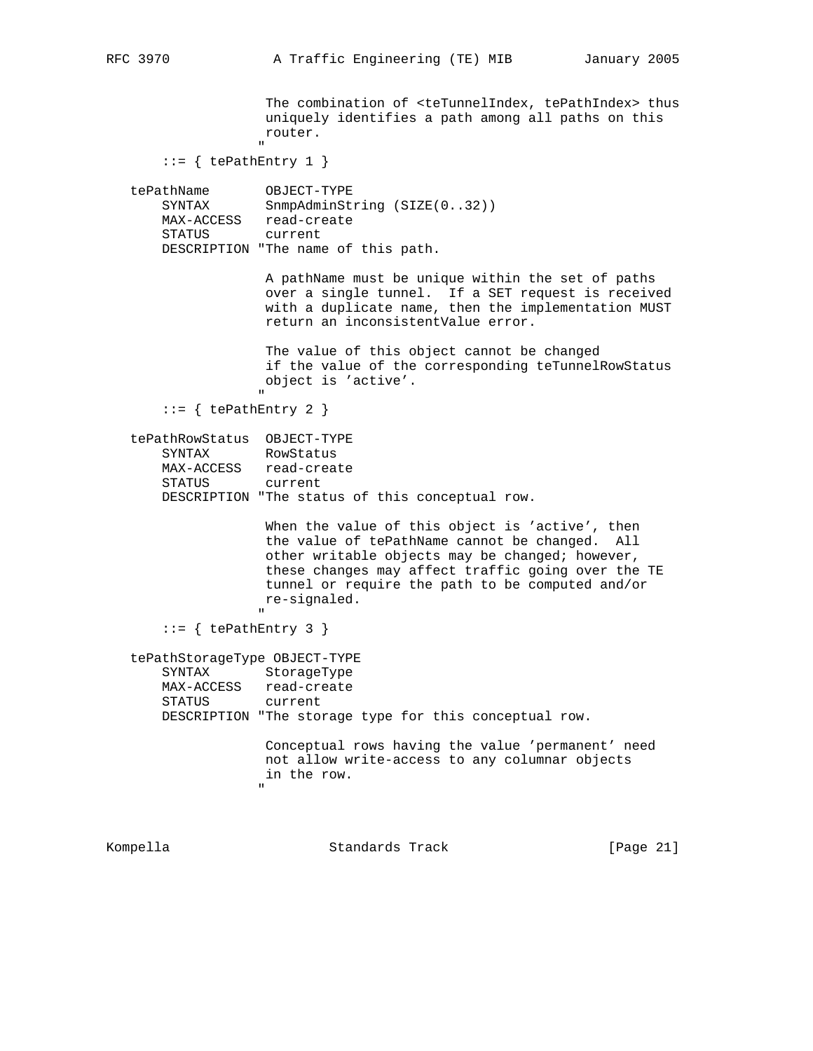The combination of <teTunnelIndex, tePathIndex> thus uniquely identifies a path among all paths on this router. " "The contract of the contract of the contract of the contract of the contract of the contract of the contract of the contract of the contract of the contract of the contract of the contract of the contract of the contrac  $::=$  { tePathEntry 1 } tePathName OBJECT-TYPE SYNTAX SnmpAdminString (SIZE(0..32)) MAX-ACCESS read-create STATUS current DESCRIPTION "The name of this path. A pathName must be unique within the set of paths over a single tunnel. If a SET request is received with a duplicate name, then the implementation MUST return an inconsistentValue error. The value of this object cannot be changed if the value of the corresponding teTunnelRowStatus object is 'active'. " ::= { tePathEntry 2 } tePathRowStatus OBJECT-TYPE SYNTAX RowStatus MAX-ACCESS read-create STATUS current DESCRIPTION "The status of this conceptual row. When the value of this object is 'active', then the value of tePathName cannot be changed. All other writable objects may be changed; however, these changes may affect traffic going over the TE tunnel or require the path to be computed and/or re-signaled. " ::= { tePathEntry 3 } tePathStorageType OBJECT-TYPE SYNTAX StorageType MAX-ACCESS read-create STATUS current DESCRIPTION "The storage type for this conceptual row. Conceptual rows having the value 'permanent' need not allow write-access to any columnar objects in the row. " Kompella Standards Track [Page 21]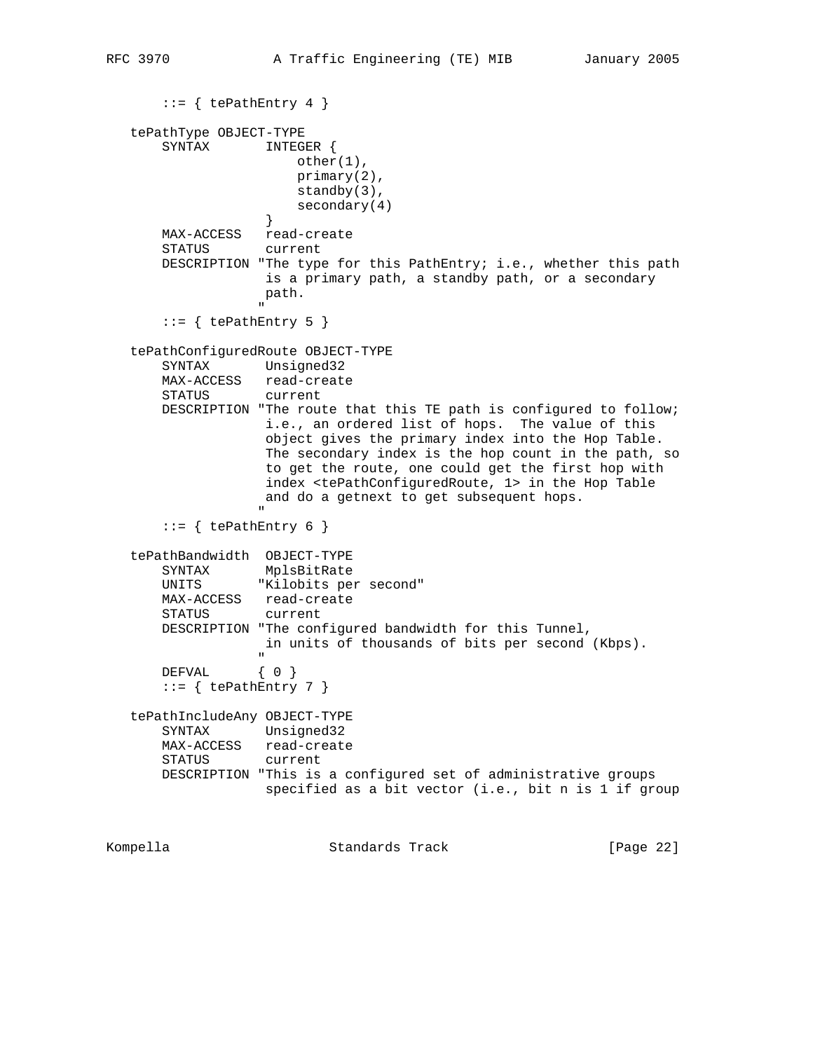```
::= { tePathEntry 4 }
    tePathType OBJECT-TYPE
        SYNTAX INTEGER {
                          other(1),
                          primary(2),
                          standby(3),
                     secondary(4)<br>}
 }
        MAX-ACCESS read-create
        STATUS current
        DESCRIPTION "The type for this PathEntry; i.e., whether this path
                     is a primary path, a standby path, or a secondary
                      path.
 "
       ::= { tePathEntry 5 }
    tePathConfiguredRoute OBJECT-TYPE
        SYNTAX Unsigned32
        MAX-ACCESS read-create
        STATUS current
        DESCRIPTION "The route that this TE path is configured to follow;
                      i.e., an ordered list of hops. The value of this
                      object gives the primary index into the Hop Table.
                      The secondary index is the hop count in the path, so
                      to get the route, one could get the first hop with
                      index <tePathConfiguredRoute, 1> in the Hop Table
                      and do a getnext to get subsequent hops.
" "The contract of the contract of the contract of the contract of the contract of the contract of the contract of the contract of the contract of the contract of the contract of the contract of the contract of the contrac
       ::= { tePathEntry 6 }
    tePathBandwidth OBJECT-TYPE
        SYNTAX MplsBitRate
        UNITS "Kilobits per second"
        MAX-ACCESS read-create
        STATUS current
        DESCRIPTION "The configured bandwidth for this Tunnel,
                      in units of thousands of bits per second (Kbps).
 "
       DEFVAL { 0 }
       ::= { tePathEntry 7 }
    tePathIncludeAny OBJECT-TYPE
        SYNTAX Unsigned32
        MAX-ACCESS read-create
        STATUS current
        DESCRIPTION "This is a configured set of administrative groups
                      specified as a bit vector (i.e., bit n is 1 if group
```
Kompella Standards Track [Page 22]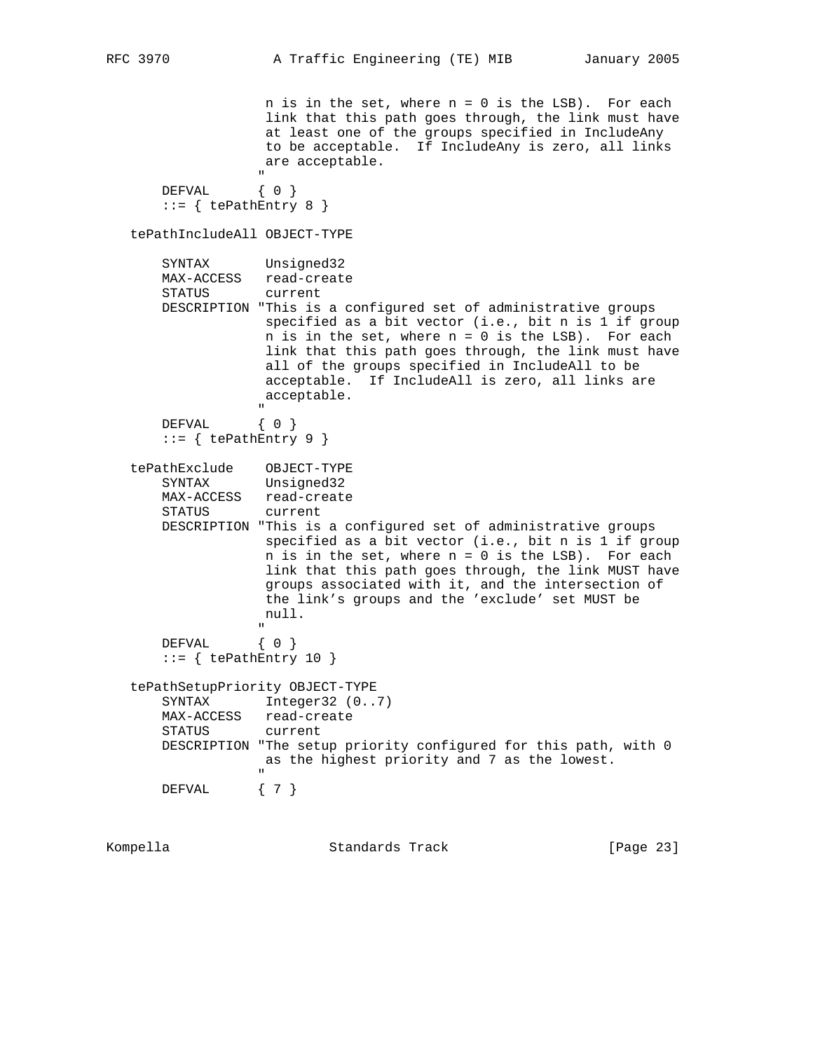$n$  is in the set, where  $n = 0$  is the LSB). For each link that this path goes through, the link must have at least one of the groups specified in IncludeAny to be acceptable. If IncludeAny is zero, all links are acceptable. " DEFVAL { 0 }  $::=$  { tePathEntry 8 } tePathIncludeAll OBJECT-TYPE SYNTAX Unsigned32 MAX-ACCESS read-create STATUS current DESCRIPTION "This is a configured set of administrative groups specified as a bit vector (i.e., bit n is 1 if group n is in the set, where n = 0 is the LSB). For each link that this path goes through, the link must have all of the groups specified in IncludeAll to be acceptable. If IncludeAll is zero, all links are acceptable. " "The contract of the contract of the contract of the contract of the contract of the contract of the contract of the contract of the contract of the contract of the contract of the contract of the contract of the contrac DEFVAL { 0 }  $::=$  { tePathEntry 9 } tePathExclude OBJECT-TYPE SYNTAX Unsigned32 MAX-ACCESS read-create STATUS current DESCRIPTION "This is a configured set of administrative groups specified as a bit vector (i.e., bit n is 1 if group  $n$  is in the set, where  $n = 0$  is the LSB). For each link that this path goes through, the link MUST have groups associated with it, and the intersection of the link's groups and the 'exclude' set MUST be null. " "The contract of the contract of the contract of the contract of the contract of the contract of the contract of the contract of the contract of the contract of the contract of the contract of the contract of the contrac DEFVAL { 0 }  $::=$  { tePathEntry 10 } tePathSetupPriority OBJECT-TYPE SYNTAX Integer32 (0..7) MAX-ACCESS read-create STATUS current DESCRIPTION "The setup priority configured for this path, with 0 as the highest priority and 7 as the lowest. " "The contract of the contract of the contract of the contract of the contract of the contract of the contract of the contract of the contract of the contract of the contract of the contract of the contract of the contrac DEFVAL { 7 }

Kompella Standards Track [Page 23]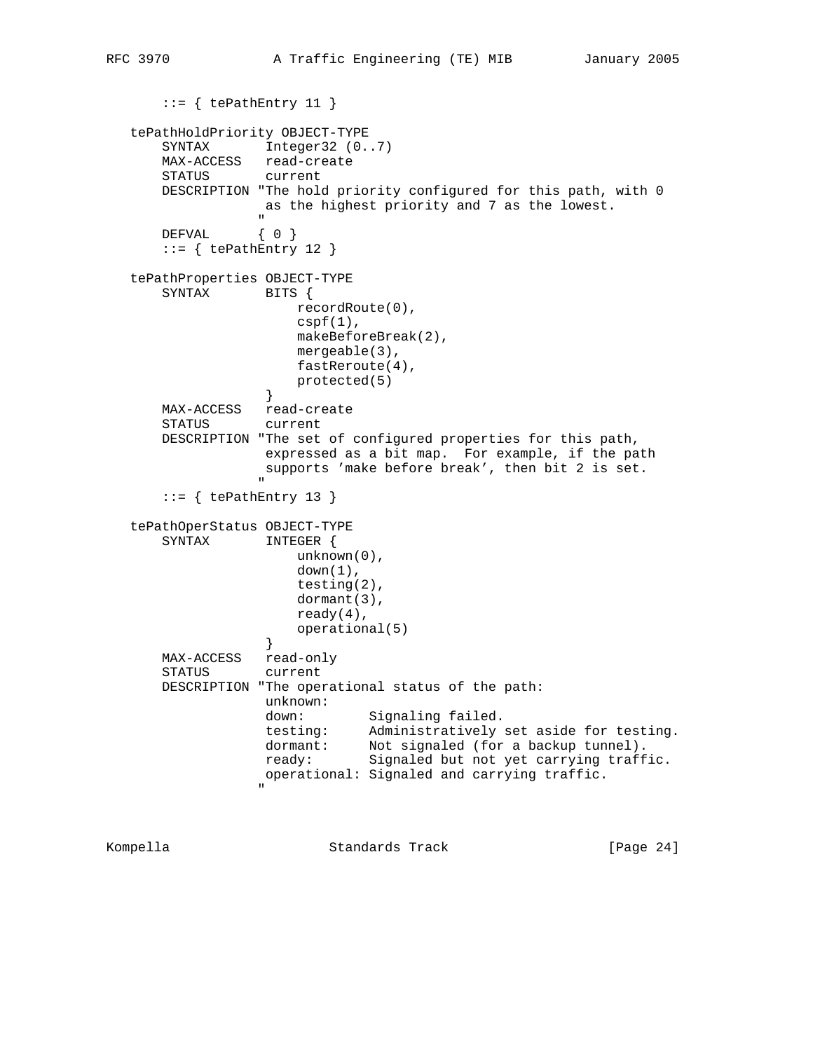```
 ::= { tePathEntry 11 }
   tePathHoldPriority OBJECT-TYPE
     SYNTAX Integer32 (0..7)
      MAX-ACCESS read-create
      STATUS current
      DESCRIPTION "The hold priority configured for this path, with 0
                 as the highest priority and 7 as the lowest.
 "
     DEFVAL { 0 }
     ::= { tePathEntry 12 }
   tePathProperties OBJECT-TYPE
      SYNTAX BITS {
                     recordRoute(0),
                     cspf(1),
                     makeBeforeBreak(2),
                     mergeable(3),
                    fastReroute(4),
                protected(5)<br>}
 }
      MAX-ACCESS read-create
      STATUS current
      DESCRIPTION "The set of configured properties for this path,
                 expressed as a bit map. For example, if the path
                 supports 'make before break', then bit 2 is set.
 "
     ::= { tePathEntry 13 }
   tePathOperStatus OBJECT-TYPE
      SYNTAX INTEGER {
                     unknown(0),
                    down(1),
                     testing(2),
                     dormant(3),
                     ready(4),
                operational(5)<br>}
 }
      MAX-ACCESS read-only
      STATUS current
      DESCRIPTION "The operational status of the path:
                 unknown:
down: Signaling failed.
 testing: Administratively set aside for testing.
 dormant: Not signaled (for a backup tunnel).
 ready: Signaled but not yet carrying traffic.
                 operational: Signaled and carrying traffic.
 "
```
Kompella Standards Track [Page 24]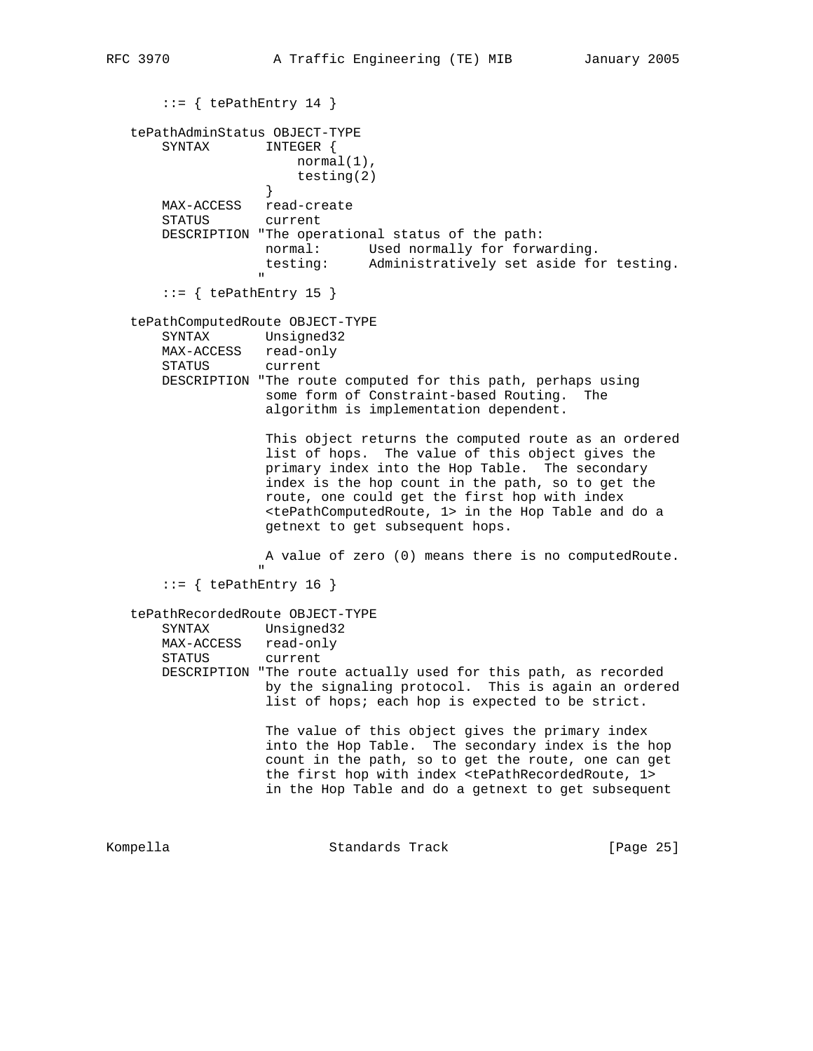```
::= { tePathEntry 14 }
    tePathAdminStatus OBJECT-TYPE
        SYNTAX INTEGER {
                         normal(1),
                    testing(2)<br>}
 }
        MAX-ACCESS read-create
        STATUS current
        DESCRIPTION "The operational status of the path:
 normal: Used normally for forwarding.
 testing: Administratively set aside for testing.
" "The contract of the contract of the contract of the contract of the contract of the contract of the contract of the contract of the contract of the contract of the contract of the contract of the contract of the contrac
       ::= { tePathEntry 15 }
    tePathComputedRoute OBJECT-TYPE
        SYNTAX Unsigned32
       MAX-ACCESS read-only<br>STATUS current
       STATUS
        DESCRIPTION "The route computed for this path, perhaps using
                     some form of Constraint-based Routing. The
                     algorithm is implementation dependent.
                      This object returns the computed route as an ordered
                     list of hops. The value of this object gives the
                     primary index into the Hop Table. The secondary
                     index is the hop count in the path, so to get the
                     route, one could get the first hop with index
                      <tePathComputedRoute, 1> in the Hop Table and do a
                     getnext to get subsequent hops.
                     A value of zero (0) means there is no computedRoute.
 "
       ::= { tePathEntry 16 }
    tePathRecordedRoute OBJECT-TYPE
        SYNTAX Unsigned32
        MAX-ACCESS read-only
        STATUS current
        DESCRIPTION "The route actually used for this path, as recorded
                     by the signaling protocol. This is again an ordered
                     list of hops; each hop is expected to be strict.
                      The value of this object gives the primary index
                      into the Hop Table. The secondary index is the hop
                     count in the path, so to get the route, one can get
                      the first hop with index <tePathRecordedRoute, 1>
                      in the Hop Table and do a getnext to get subsequent
Kompella Standards Track [Page 25]
```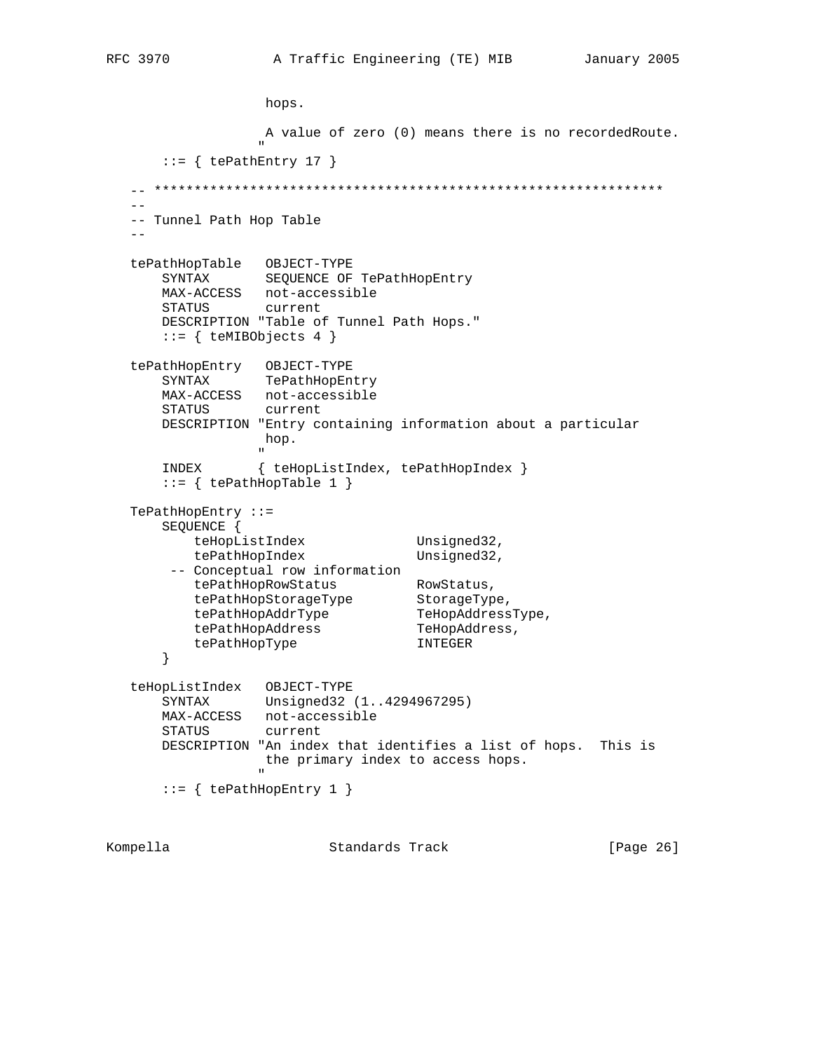```
 hops.
                         A value of zero (0) means there is no recordedRoute.
" "The contract of the contract of the contract of the contract of the contract of the contract of the contract of the contract of the contract of the contract of the contract of the contract of the contract of the contrac
        ::= { tePathEntry 17 }
   \hspace{1.3cm} \_ \_ \_ \_ \_ \- -- Tunnel Path Hop Table
   - - tePathHopTable OBJECT-TYPE
         SYNTAX SEQUENCE OF TePathHopEntry
 MAX-ACCESS not-accessible
 STATUS current
         DESCRIPTION "Table of Tunnel Path Hops."
        ::= { teMIBObjects 4 }
    tePathHopEntry OBJECT-TYPE
         SYNTAX TePathHopEntry
         MAX-ACCESS not-accessible
         STATUS current
         DESCRIPTION "Entry containing information about a particular
                         hop.
" "The contract of the contract of the contract of the contract of the contract of the contract of the contract of the contract of the contract of the contract of the contract of the contract of the contract of the contrac
         INDEX { teHopListIndex, tePathHopIndex }
        ::= { tePathHopTable 1 }
    TePathHopEntry ::=
         SEQUENCE {
teHopListIndex Unsigned32,
tePathHopIndex Unsigned32,
          -- Conceptual row information
tePathHopRowStatus RowStatus,
 tePathHopStorageType StorageType,
tePathHopAddrType TeHopAddressType,
tePathHopAddress TeHopAddress,
 tePathHopType INTEGER
         }
    teHopListIndex OBJECT-TYPE
         SYNTAX Unsigned32 (1..4294967295)
         MAX-ACCESS not-accessible
         STATUS current
         DESCRIPTION "An index that identifies a list of hops. This is
                         the primary index to access hops.
" "The contract of the contract of the contract of the contract of the contract of the contract of the contract of the contract of the contract of the contract of the contract of the contract of the contract of the contrac
        ::= { tePathHopEntry 1 }
Kompella Standards Track [Page 26]
```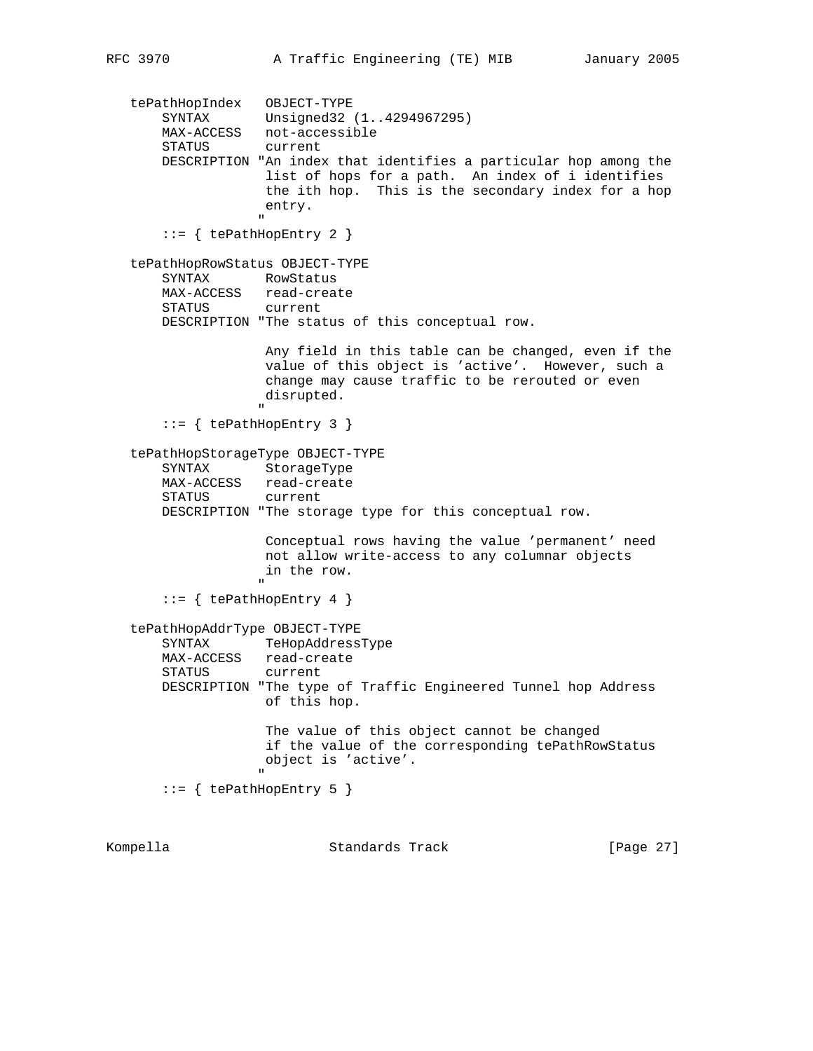```
 tePathHopIndex OBJECT-TYPE
 SYNTAX Unsigned32 (1..4294967295)
 MAX-ACCESS not-accessible
          STATUS current
          DESCRIPTION "An index that identifies a particular hop among the
                            list of hops for a path. An index of i identifies
                            the ith hop. This is the secondary index for a hop
                            entry.
 "
          ::= { tePathHopEntry 2 }
     tePathHopRowStatus OBJECT-TYPE
          SYNTAX RowStatus
          MAX-ACCESS read-create
          STATUS current
          DESCRIPTION "The status of this conceptual row.
                            Any field in this table can be changed, even if the
                            value of this object is 'active'. However, such a
                            change may cause traffic to be rerouted or even
                            disrupted.
" "The contract of the contract of the contract of the contract of the contract of the contract of the contract of the contract of the contract of the contract of the contract of the contract of the contract of the contrac
           ::= { tePathHopEntry 3 }
     tePathHopStorageType OBJECT-TYPE
          SYNTAX StorageType
          MAX-ACCESS read-create
          STATUS current
          DESCRIPTION "The storage type for this conceptual row.
                            Conceptual rows having the value 'permanent' need
                            not allow write-access to any columnar objects
                            in the row.
" "The contract of the contract of the contract of the contract of the contract of the contract of the contract of the contract of the contract of the contract of the contract of the contract of the contract of the contrac
           ::= { tePathHopEntry 4 }
     tePathHopAddrType OBJECT-TYPE
          SYNTAX TeHopAddressType
          MAX-ACCESS read-create
          STATUS current
          DESCRIPTION "The type of Traffic Engineered Tunnel hop Address
                            of this hop.
                            The value of this object cannot be changed
                            if the value of the corresponding tePathRowStatus
                            object is 'active'.
" "The contract of the contract of the contract of the contract of the contract of the contract of the contract of the contract of the contract of the contract of the contract of the contract of the contract of the contrac
           ::= { tePathHopEntry 5 }
Kompella                         Standards Track                 [Page 27]
```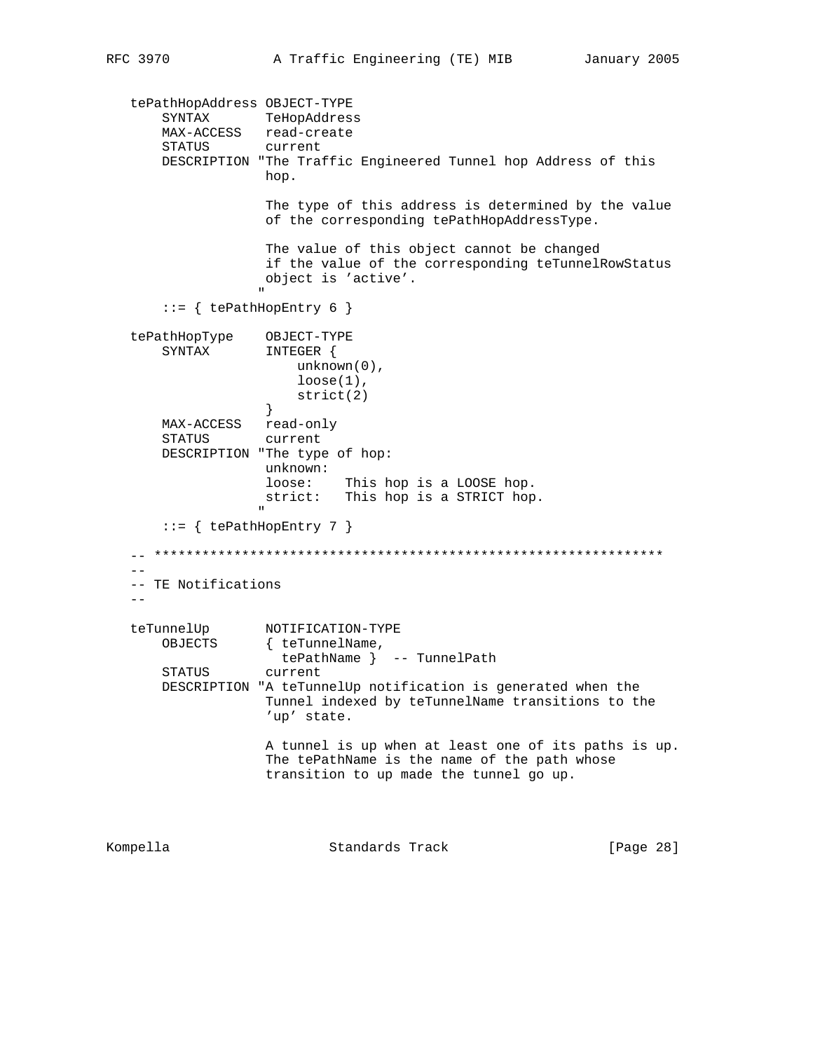```
 tePathHopAddress OBJECT-TYPE
 SYNTAX TeHopAddress
 MAX-ACCESS read-create
 STATUS current
         DESCRIPTION "The Traffic Engineered Tunnel hop Address of this
                         hop.
                          The type of this address is determined by the value
                          of the corresponding tePathHopAddressType.
                          The value of this object cannot be changed
                          if the value of the corresponding teTunnelRowStatus
                         object is 'active'.
" "The contract of the contract of the contract of the contract of the contract of the contract of the contract of the contract of the contract of the contract of the contract of the contract of the contract of the contrac
         ::= { tePathHopEntry 6 }
    tePathHopType OBJECT-TYPE
         SYNTAX INTEGER {
                              unknown(0),
                              loose(1),
                         strict(2)<br>}
 }
         MAX-ACCESS read-only
         STATUS current
         DESCRIPTION "The type of hop:
                          unknown:
                          loose: This hop is a LOOSE hop.
                         strict: This hop is a STRICT hop.
" "The contract of the contract of the contract of the contract of the contract of the contract of the contract of the contract of the contract of the contract of the contract of the contract of the contract of the contrac
         ::= { tePathHopEntry 7 }
    -- ****************************************************************
 --
    -- TE Notifications
   - -teTunnelUp NOTIFICATION-TYPE<br>OBJECTS { teTunnelName,
                        { teTunnelName,
                            tePathName } -- TunnelPath
         STATUS current
         DESCRIPTION "A teTunnelUp notification is generated when the
                          Tunnel indexed by teTunnelName transitions to the
                          'up' state.
                          A tunnel is up when at least one of its paths is up.
                          The tePathName is the name of the path whose
                          transition to up made the tunnel go up.
Kompella Standards Track [Page 28]
```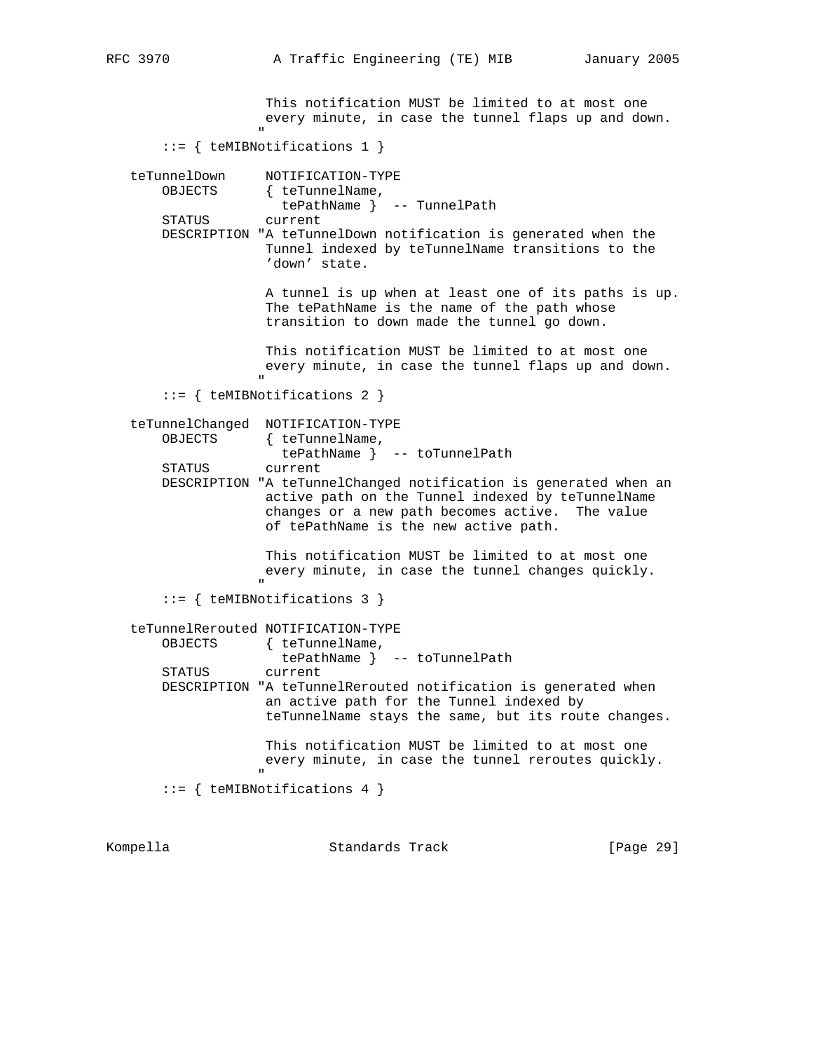This notification MUST be limited to at most one every minute, in case the tunnel flaps up and down. " ::= { teMIBNotifications 1 } teTunnelDown NOTIFICATION-TYPE OBJECTS { teTunnelName, tePathName } -- TunnelPath STATUS current DESCRIPTION "A teTunnelDown notification is generated when the Tunnel indexed by teTunnelName transitions to the 'down' state. A tunnel is up when at least one of its paths is up. The tePathName is the name of the path whose transition to down made the tunnel go down. This notification MUST be limited to at most one every minute, in case the tunnel flaps up and down. " "The contract of the contract of the contract of the contract of the contract of the contract of the contract of the contract of the contract of the contract of the contract of the contract of the contract of the contrac ::= { teMIBNotifications 2 } teTunnelChanged NOTIFICATION-TYPE OBJECTS { teTunnelName, tePathName } -- toTunnelPath STATUS current DESCRIPTION "A teTunnelChanged notification is generated when an active path on the Tunnel indexed by teTunnelName changes or a new path becomes active. The value of tePathName is the new active path. This notification MUST be limited to at most one every minute, in case the tunnel changes quickly. " "The contract of the contract of the contract of the contract of the contract of the contract of the contract of the contract of the contract of the contract of the contract of the contract of the contract of the contrac ::= { teMIBNotifications 3 } teTunnelRerouted NOTIFICATION-TYPE OBJECTS { teTunnelName, tePathName } -- toTunnelPath STATUS current DESCRIPTION "A teTunnelRerouted notification is generated when an active path for the Tunnel indexed by teTunnelName stays the same, but its route changes. This notification MUST be limited to at most one every minute, in case the tunnel reroutes quickly. " "The contract of the contract of the contract of the contract of the contract of the contract of the contract of the contract of the contract of the contract of the contract of the contract of the contract of the contrac ::= { teMIBNotifications 4 } Kompella Standards Track [Page 29]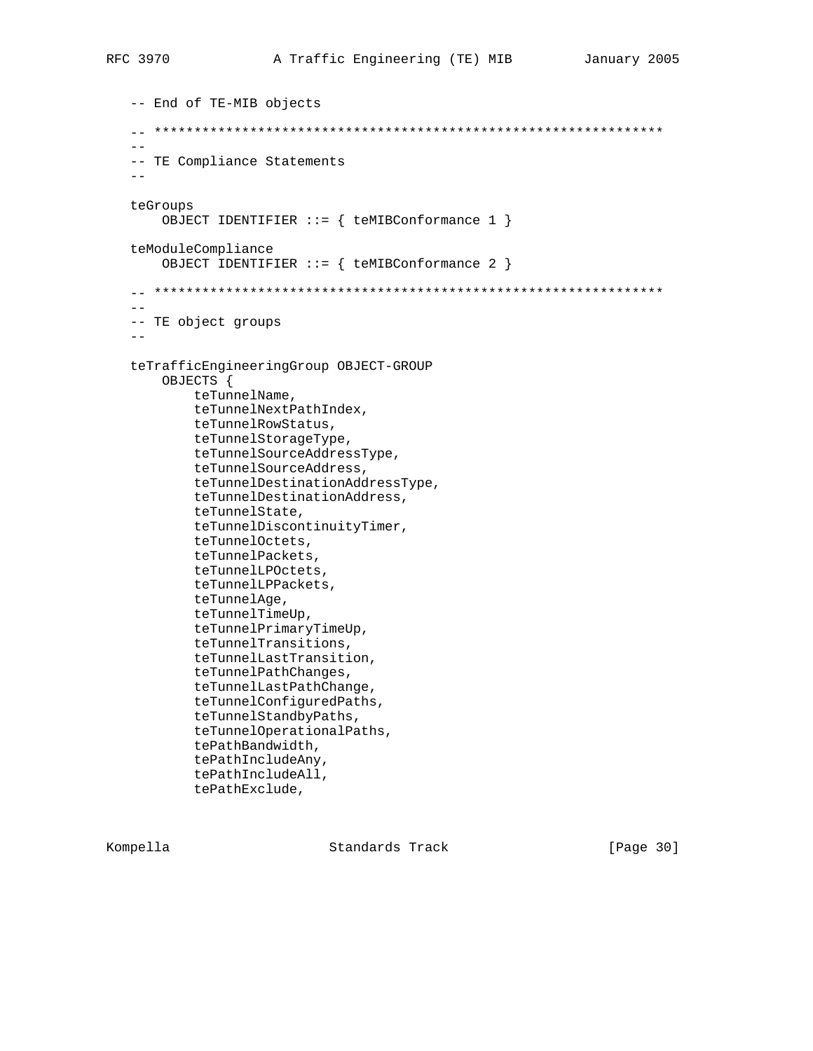```
 -- End of TE-MIB objects
   -- ****************************************************************
 --
   -- TE Compliance Statements
  - - teGroups
       OBJECT IDENTIFIER ::= { teMIBConformance 1 }
   teModuleCompliance
       OBJECT IDENTIFIER ::= { teMIBConformance 2 }
   -- ****************************************************************
 --
   -- TE object groups
  - - teTrafficEngineeringGroup OBJECT-GROUP
       OBJECTS {
            teTunnelName,
            teTunnelNextPathIndex,
            teTunnelRowStatus,
            teTunnelStorageType,
            teTunnelSourceAddressType,
            teTunnelSourceAddress,
            teTunnelDestinationAddressType,
            teTunnelDestinationAddress,
            teTunnelState,
            teTunnelDiscontinuityTimer,
            teTunnelOctets,
            teTunnelPackets,
            teTunnelLPOctets,
            teTunnelLPPackets,
            teTunnelAge,
            teTunnelTimeUp,
            teTunnelPrimaryTimeUp,
            teTunnelTransitions,
            teTunnelLastTransition,
            teTunnelPathChanges,
            teTunnelLastPathChange,
            teTunnelConfiguredPaths,
            teTunnelStandbyPaths,
            teTunnelOperationalPaths,
            tePathBandwidth,
            tePathIncludeAny,
            tePathIncludeAll,
            tePathExclude,
```
Kompella **Standards Track** [Page 30]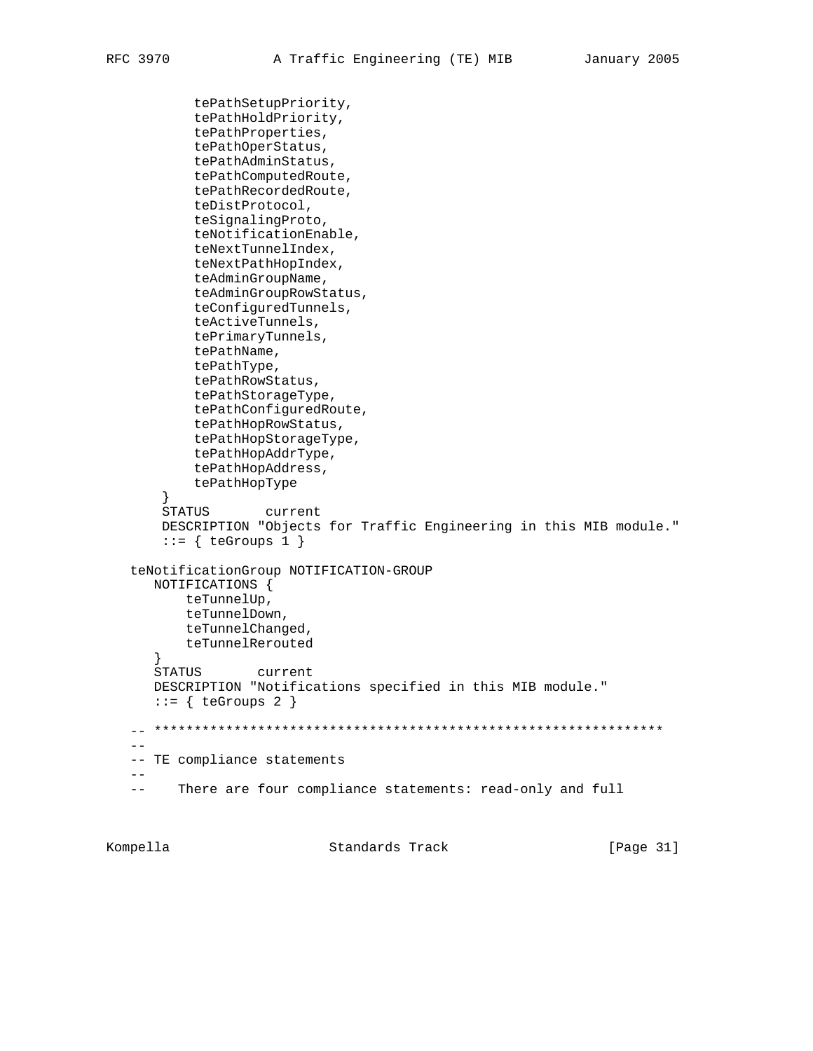```
 tePathSetupPriority,
         tePathHoldPriority,
         tePathProperties,
         tePathOperStatus,
         tePathAdminStatus,
         tePathComputedRoute,
         tePathRecordedRoute,
         teDistProtocol,
         teSignalingProto,
         teNotificationEnable,
         teNextTunnelIndex,
         teNextPathHopIndex,
         teAdminGroupName,
         teAdminGroupRowStatus,
         teConfiguredTunnels,
         teActiveTunnels,
         tePrimaryTunnels,
         tePathName,
         tePathType,
         tePathRowStatus,
         tePathStorageType,
         tePathConfiguredRoute,
         tePathHopRowStatus,
         tePathHopStorageType,
         tePathHopAddrType,
         tePathHopAddress,
         tePathHopType
     }
    STATUS current
    DESCRIPTION "Objects for Traffic Engineering in this MIB module."
    ::= \{ \text{teGroups 1 } \} teNotificationGroup NOTIFICATION-GROUP
   NOTIFICATIONS {
       teTunnelUp,
       teTunnelDown,
       teTunnelChanged,
       teTunnelRerouted
    }
    STATUS current
   DESCRIPTION "Notifications specified in this MIB module."
   ::= { teGroups 2 }
 -- ****************************************************************
- - -- TE compliance statements
- - -- There are four compliance statements: read-only and full
```
Kompella Standards Track [Page 31]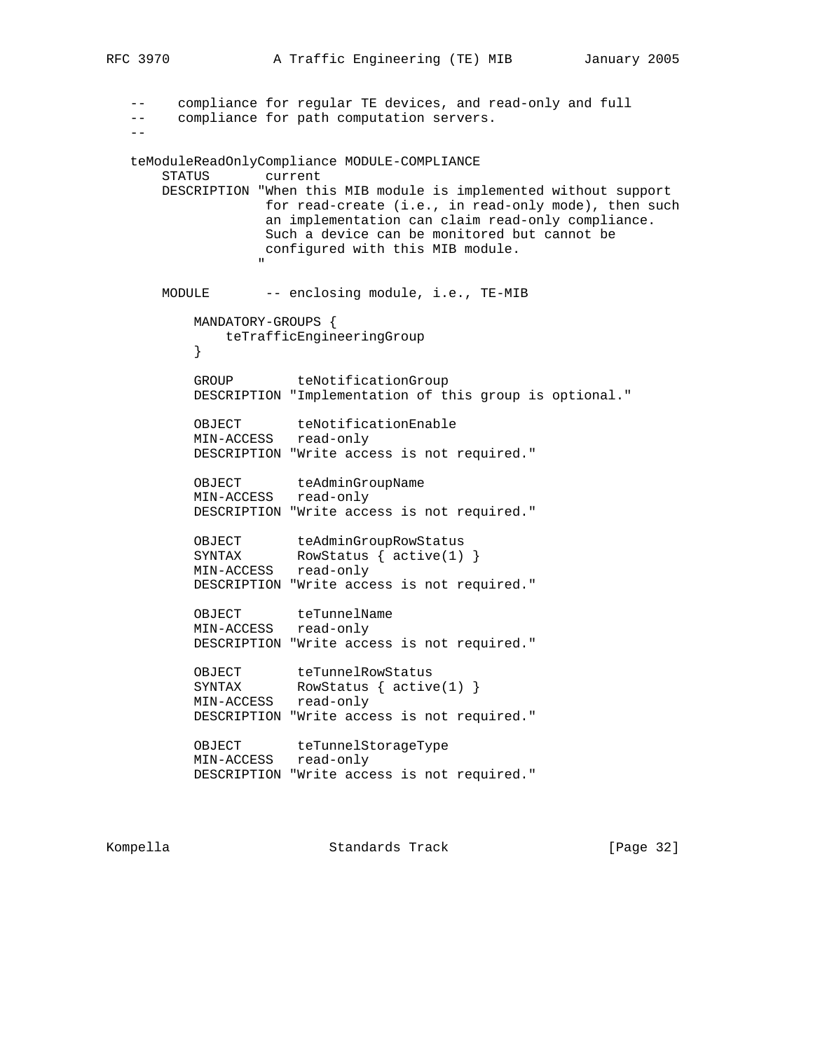```
RFC 3970 A Traffic Engineering (TE) MIB January 2005
      compliance for regular TE devices, and read-only and full
   -- compliance for path computation servers.
 --
   teModuleReadOnlyCompliance MODULE-COMPLIANCE
       STATUS current
       DESCRIPTION "When this MIB module is implemented without support
                 for read-create (i.e., in read-only mode), then such
                  an implementation can claim read-only compliance.
                  Such a device can be monitored but cannot be
                  configured with this MIB module.
 "
      MODULE -- enclosing module, i.e., TE-MIB
          MANDATORY-GROUPS {
             teTrafficEngineeringGroup
 }
         GROUP teNotificationGroup
          DESCRIPTION "Implementation of this group is optional."
         OBJECT teNotificationEnable
          MIN-ACCESS read-only
          DESCRIPTION "Write access is not required."
OBJECT teAdminGroupName
 MIN-ACCESS read-only
          DESCRIPTION "Write access is not required."
OBJECT teAdminGroupRowStatus
SYNTAX RowStatus { active(1) }
          MIN-ACCESS read-only
          DESCRIPTION "Write access is not required."
         OBJECT teTunnelName
          MIN-ACCESS read-only
          DESCRIPTION "Write access is not required."
OBJECT teTunnelRowStatus
SYNTAX RowStatus { active(1) }
 MIN-ACCESS read-only
          DESCRIPTION "Write access is not required."
         OBJECT teTunnelStorageType
          MIN-ACCESS read-only
          DESCRIPTION "Write access is not required."
```
Kompella Chambridge Standards Track [Page 32]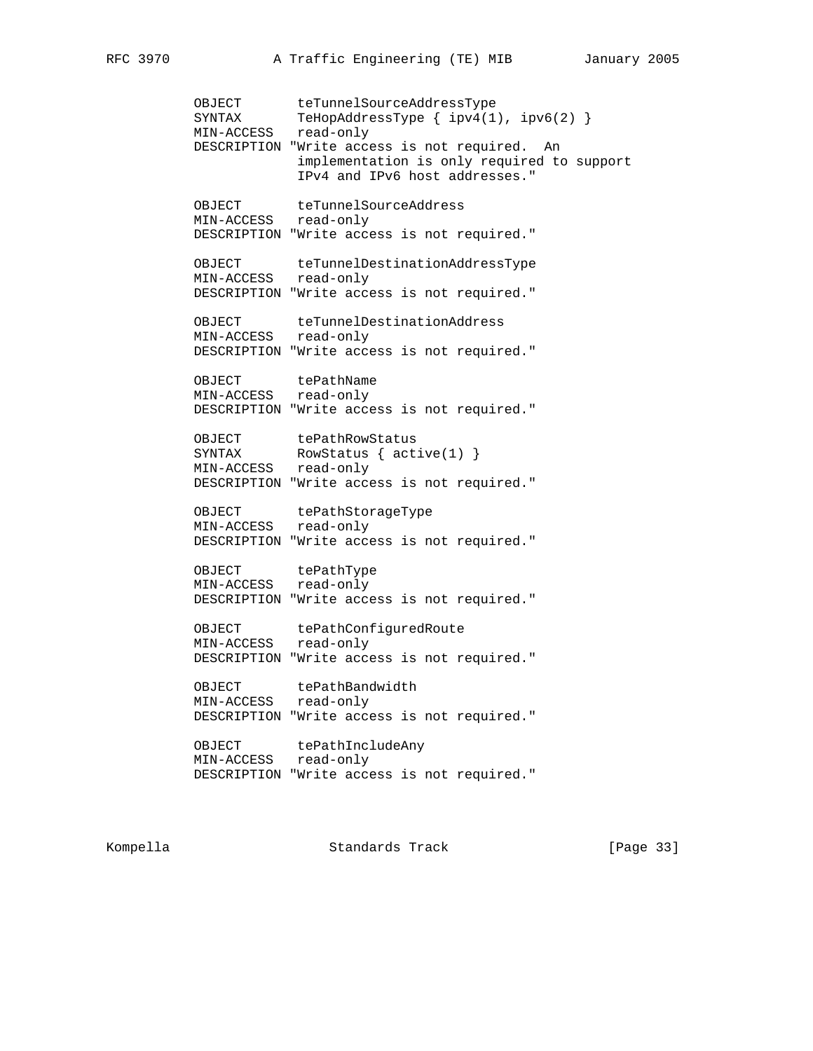OBJECT teTunnelSourceAddressType SYNTAX TeHopAddressType { ipv4(1), ipv6(2) } MIN-ACCESS read-only DESCRIPTION "Write access is not required. An implementation is only required to support IPv4 and IPv6 host addresses." OBJECT teTunnelSourceAddress MIN-ACCESS read-only DESCRIPTION "Write access is not required." OBJECT teTunnelDestinationAddressType MIN-ACCESS read-only DESCRIPTION "Write access is not required." OBJECT teTunnelDestinationAddress MIN-ACCESS read-only DESCRIPTION "Write access is not required." OBJECT tePathName MIN-ACCESS read-only DESCRIPTION "Write access is not required." OBJECT tePathRowStatus SYNTAX RowStatus { active(1) } MIN-ACCESS read-only DESCRIPTION "Write access is not required." OBJECT tePathStorageType MIN-ACCESS read-only DESCRIPTION "Write access is not required." OBJECT tePathType MIN-ACCESS read-only DESCRIPTION "Write access is not required." OBJECT tePathConfiguredRoute MIN-ACCESS read-only DESCRIPTION "Write access is not required." OBJECT tePathBandwidth MIN-ACCESS read-only DESCRIPTION "Write access is not required." OBJECT tePathIncludeAny MIN-ACCESS read-only DESCRIPTION "Write access is not required."

Kompella **Standards Track** [Page 33]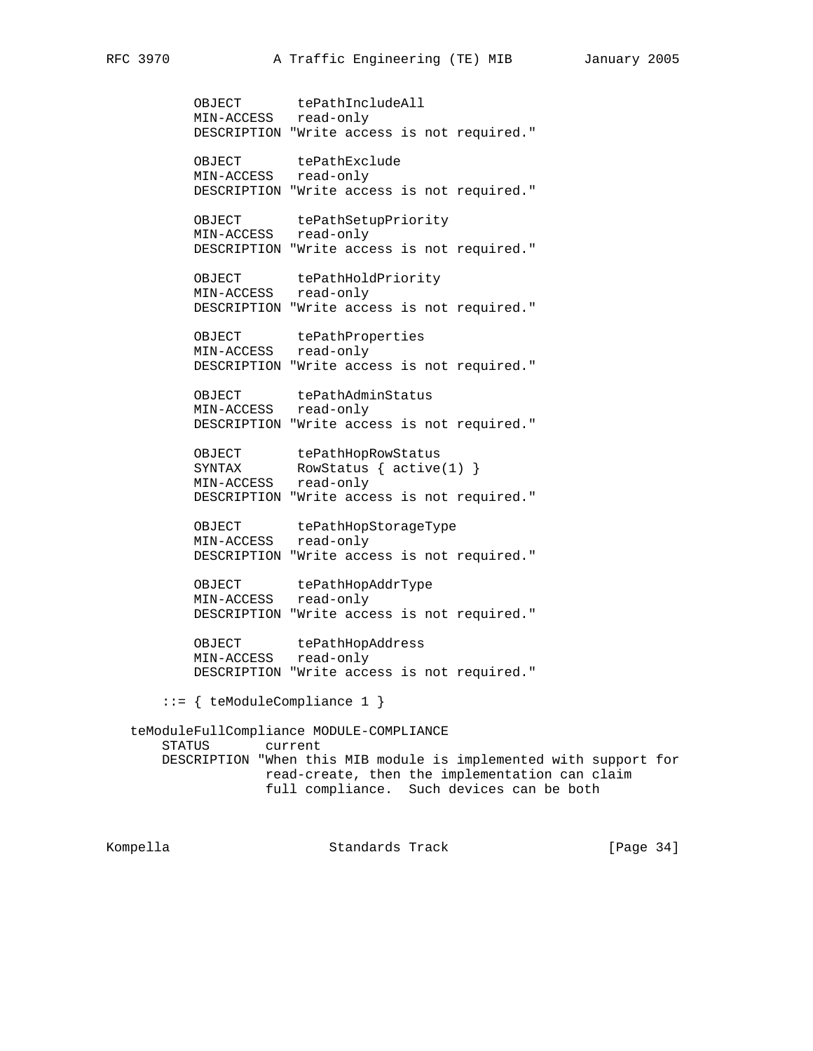OBJECT tePathIncludeAll MIN-ACCESS read-only DESCRIPTION "Write access is not required." OBJECT tePathExclude MIN-ACCESS read-only DESCRIPTION "Write access is not required." OBJECT tePathSetupPriority MIN-ACCESS read-only DESCRIPTION "Write access is not required." OBJECT tePathHoldPriority MIN-ACCESS read-only DESCRIPTION "Write access is not required." OBJECT tePathProperties MIN-ACCESS read-only DESCRIPTION "Write access is not required." OBJECT tePathAdminStatus MIN-ACCESS read-only DESCRIPTION "Write access is not required." OBJECT tePathHopRowStatus SYNTAX RowStatus { active(1) } MIN-ACCESS read-only DESCRIPTION "Write access is not required." OBJECT tePathHopStorageType MIN-ACCESS read-only DESCRIPTION "Write access is not required." OBJECT tePathHopAddrType MIN-ACCESS read-only DESCRIPTION "Write access is not required." OBJECT tePathHopAddress MIN-ACCESS read-only DESCRIPTION "Write access is not required." ::= { teModuleCompliance 1 } teModuleFullCompliance MODULE-COMPLIANCE STATUS current DESCRIPTION "When this MIB module is implemented with support for read-create, then the implementation can claim full compliance. Such devices can be both

Kompella Standards Track [Page 34]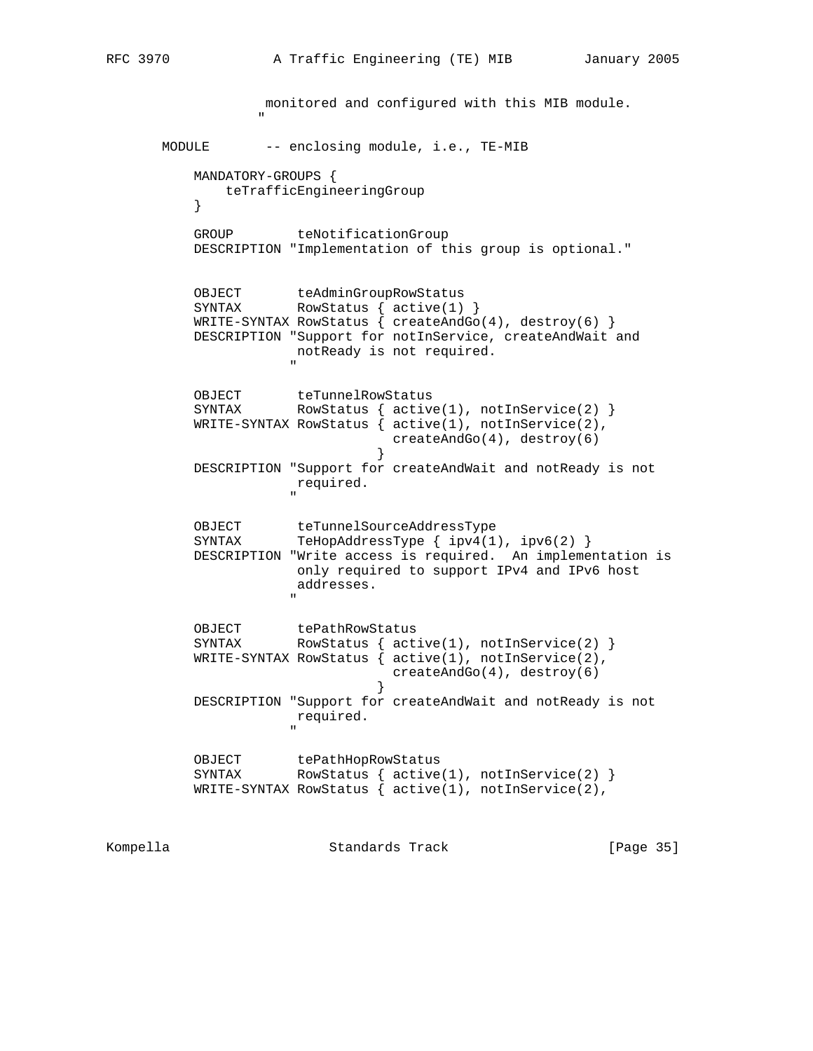monitored and configured with this MIB module. " "The contract of the contract of the contract of the contract of the contract of the contract of the contract of the contract of the contract of the contract of the contract of the contract of the contract of the contrac MODULE -- enclosing module, i.e., TE-MIB MANDATORY-GROUPS { teTrafficEngineeringGroup } GROUP teNotificationGroup DESCRIPTION "Implementation of this group is optional." OBJECT teAdminGroupRowStatus SYNTAX RowStatus { active(1) } WRITE-SYNTAX RowStatus { createAndGo(4), destroy(6) } DESCRIPTION "Support for notInService, createAndWait and notReady is not required. " OBJECT teTunnelRowStatus SYNTAX RowStatus { active(1), notInService(2) } WRITE-SYNTAX RowStatus { active(1), notInService(2), createAndGo(4), destroy(6)<br>} } DESCRIPTION "Support for createAndWait and notReady is not required. " OBJECT teTunnelSourceAddressType SYNTAX TeHopAddressType { ipv4(1), ipv6(2) } DESCRIPTION "Write access is required. An implementation is only required to support IPv4 and IPv6 host addresses. " OBJECT tePathRowStatus<br>SYNTAX RowStatus { act RowStatus  $\{$  active(1), notInService(2)  $\}$ WRITE-SYNTAX RowStatus  $\begin{cases} \text{active}(1), \text{ not} \text{In} \text{Service}(2), \end{cases}$  createAndGo(4), destroy(6) } DESCRIPTION "Support for createAndWait and notReady is not required. " OBJECT tePathHopRowStatus SYNTAX RowStatus { active(1), notInService(2) } WRITE-SYNTAX RowStatus  $\begin{cases} \text{active}(1), \text{ not} \text{In} \text{Service}(2), \end{cases}$ 

Kompella Standards Track [Page 35]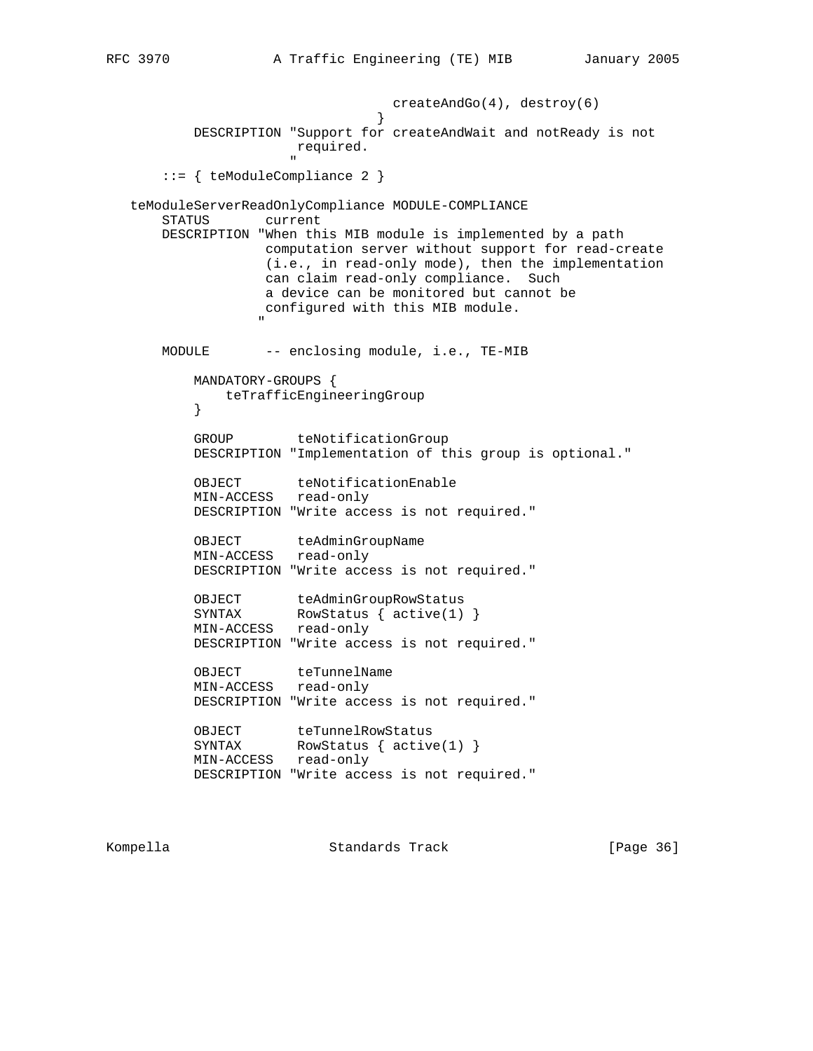createAndGo(4), destroy(6) } DESCRIPTION "Support for createAndWait and notReady is not required. " ::= { teModuleCompliance 2 } teModuleServerReadOnlyCompliance MODULE-COMPLIANCE STATUS current DESCRIPTION "When this MIB module is implemented by a path computation server without support for read-create (i.e., in read-only mode), then the implementation can claim read-only compliance. Such a device can be monitored but cannot be configured with this MIB module. " "The contract of the contract of the contract of the contract of the contract of the contract of the contract of the contract of the contract of the contract of the contract of the contract of the contract of the contrac MODULE -- enclosing module, i.e., TE-MIB MANDATORY-GROUPS { teTrafficEngineeringGroup } GROUP teNotificationGroup DESCRIPTION "Implementation of this group is optional." OBJECT teNotificationEnable MIN-ACCESS read-only DESCRIPTION "Write access is not required." OBJECT teAdminGroupName MIN-ACCESS read-only DESCRIPTION "Write access is not required." OBJECT teAdminGroupRowStatus<br>SYNTAX RowStatus { active(1) RowStatus  $\{$  active(1)  $\}$  MIN-ACCESS read-only DESCRIPTION "Write access is not required." OBJECT teTunnelName MIN-ACCESS read-only DESCRIPTION "Write access is not required." OBJECT teTunnelRowStatus<br>SYNTAX RowStatus { active RowStatus  $\{$  active(1)  $\}$  MIN-ACCESS read-only DESCRIPTION "Write access is not required."

Kompella Standards Track [Page 36]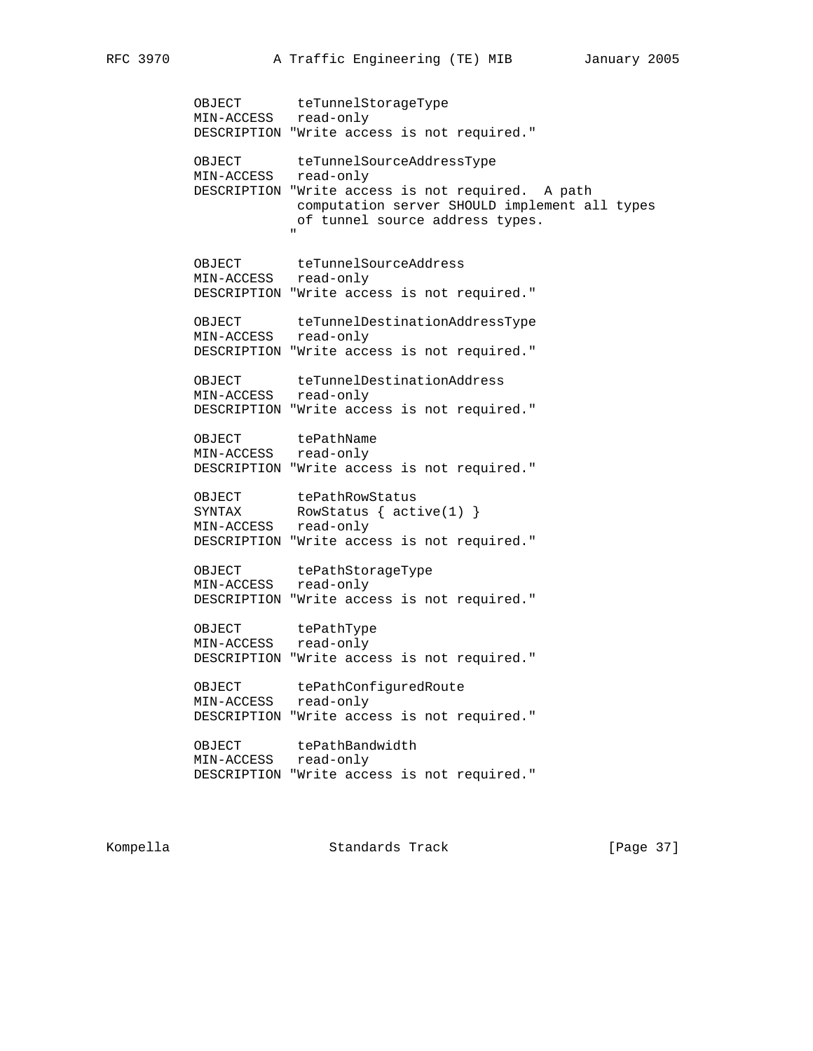OBJECT teTunnelStorageType MIN-ACCESS read-only DESCRIPTION "Write access is not required." OBJECT teTunnelSourceAddressType MIN-ACCESS read-only DESCRIPTION "Write access is not required. A path computation server SHOULD implement all types of tunnel source address types. " OBJECT teTunnelSourceAddress MIN-ACCESS read-only DESCRIPTION "Write access is not required." OBJECT teTunnelDestinationAddressType MIN-ACCESS read-only DESCRIPTION "Write access is not required." OBJECT teTunnelDestinationAddress MIN-ACCESS read-only DESCRIPTION "Write access is not required." OBJECT tePathName MIN-ACCESS read-only DESCRIPTION "Write access is not required." OBJECT tePathRowStatus SYNTAX RowStatus { active(1) } MIN-ACCESS read-only DESCRIPTION "Write access is not required." OBJECT tePathStorageType MIN-ACCESS read-only DESCRIPTION "Write access is not required." OBJECT tePathType MIN-ACCESS read-only DESCRIPTION "Write access is not required." OBJECT tePathConfiguredRoute MIN-ACCESS read-only DESCRIPTION "Write access is not required." OBJECT tePathBandwidth MIN-ACCESS read-only DESCRIPTION "Write access is not required."

Kompella Standards Track [Page 37]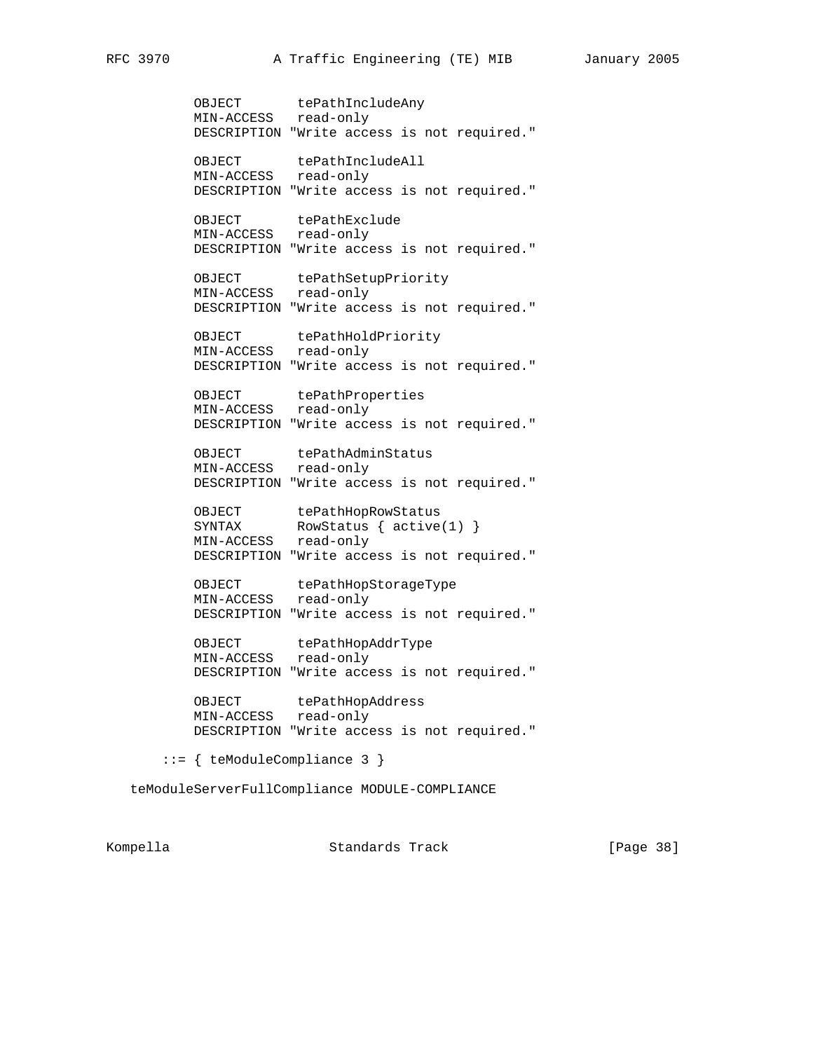OBJECT tePathIncludeAny MIN-ACCESS read-only DESCRIPTION "Write access is not required." OBJECT tePathIncludeAll MIN-ACCESS read-only DESCRIPTION "Write access is not required." OBJECT tePathExclude MIN-ACCESS read-only DESCRIPTION "Write access is not required." OBJECT tePathSetupPriority MIN-ACCESS read-only DESCRIPTION "Write access is not required." OBJECT tePathHoldPriority MIN-ACCESS read-only DESCRIPTION "Write access is not required." OBJECT tePathProperties MIN-ACCESS read-only DESCRIPTION "Write access is not required." OBJECT tePathAdminStatus MIN-ACCESS read-only DESCRIPTION "Write access is not required." OBJECT tePathHopRowStatus SYNTAX RowStatus { active(1) } MIN-ACCESS read-only DESCRIPTION "Write access is not required." OBJECT tePathHopStorageType MIN-ACCESS read-only DESCRIPTION "Write access is not required." OBJECT tePathHopAddrType MIN-ACCESS read-only DESCRIPTION "Write access is not required." OBJECT tePathHopAddress MIN-ACCESS read-only DESCRIPTION "Write access is not required." ::= { teModuleCompliance 3 }

teModuleServerFullCompliance MODULE-COMPLIANCE

Kompella **Standards Track** [Page 38]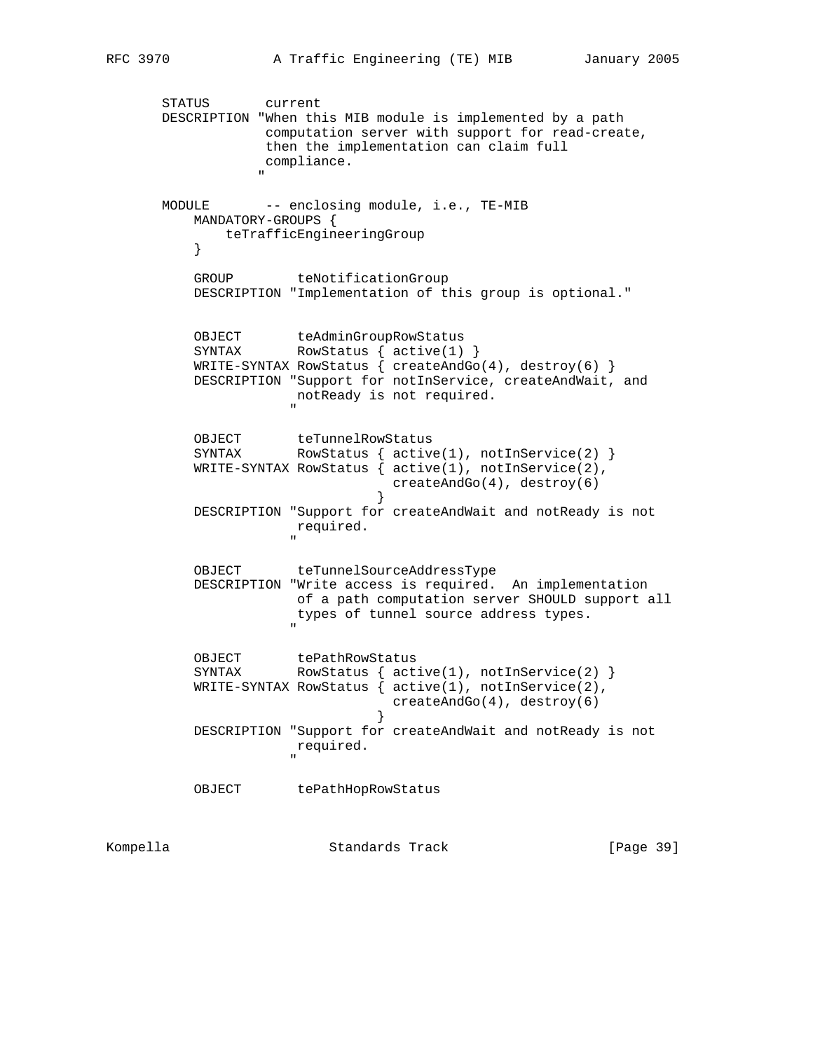STATUS current DESCRIPTION "When this MIB module is implemented by a path computation server with support for read-create, then the implementation can claim full compliance. " MODULE -- enclosing module, i.e., TE-MIB MANDATORY-GROUPS { teTrafficEngineeringGroup<br>} } GROUP teNotificationGroup DESCRIPTION "Implementation of this group is optional." OBJECT teAdminGroupRowStatus<br>SYNTAX RowStatus { active(1) RowStatus  $\{$  active(1)  $\}$ WRITE-SYNTAX RowStatus  $\{ \text{createdMod}(4), \text{destroy}(6) \}$  DESCRIPTION "Support for notInService, createAndWait, and notReady is not required. " OBJECT teTunnelRowStatus SYNTAX RowStatus { active(1), notInService(2) } WRITE-SYNTAX RowStatus { active(1), notInService(2), createAndGo(4), destroy(6) } DESCRIPTION "Support for createAndWait and notReady is not required. " OBJECT teTunnelSourceAddressType DESCRIPTION "Write access is required. An implementation of a path computation server SHOULD support all types of tunnel source address types. " OBJECT tePathRowStatus<br>SYNTAX RowStatus { act RowStatus  $\{$  active(1), notInService(2)  $\}$  WRITE-SYNTAX RowStatus { active(1), notInService(2), createAndGo(4), destroy(6) } DESCRIPTION "Support for createAndWait and notReady is not required. " OBJECT tePathHopRowStatus

Kompella Chambreach Standards Track [Page 39]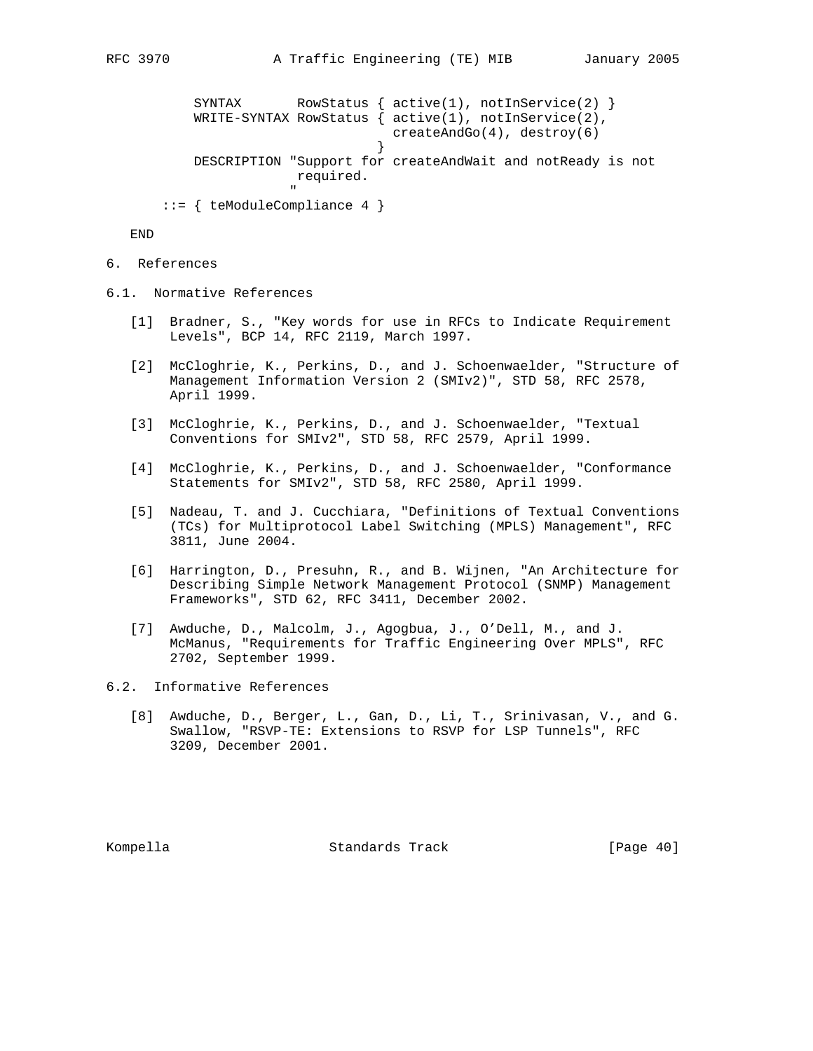```
SYNTAX RowStatus \{ active(1), notInService(2) \} WRITE-SYNTAX RowStatus { active(1), notInService(2),
                              createAndGo(4), destroy(6)
 }
         DESCRIPTION "Support for createAndWait and notReady is not
                    required.
 "
      ::= { teModuleCompliance 4 }
```
END

- 6. References
- 6.1. Normative References
	- [1] Bradner, S., "Key words for use in RFCs to Indicate Requirement Levels", BCP 14, RFC 2119, March 1997.
	- [2] McCloghrie, K., Perkins, D., and J. Schoenwaelder, "Structure of Management Information Version 2 (SMIv2)", STD 58, RFC 2578, April 1999.
	- [3] McCloghrie, K., Perkins, D., and J. Schoenwaelder, "Textual Conventions for SMIv2", STD 58, RFC 2579, April 1999.
	- [4] McCloghrie, K., Perkins, D., and J. Schoenwaelder, "Conformance Statements for SMIv2", STD 58, RFC 2580, April 1999.
	- [5] Nadeau, T. and J. Cucchiara, "Definitions of Textual Conventions (TCs) for Multiprotocol Label Switching (MPLS) Management", RFC 3811, June 2004.
	- [6] Harrington, D., Presuhn, R., and B. Wijnen, "An Architecture for Describing Simple Network Management Protocol (SNMP) Management Frameworks", STD 62, RFC 3411, December 2002.
	- [7] Awduche, D., Malcolm, J., Agogbua, J., O'Dell, M., and J. McManus, "Requirements for Traffic Engineering Over MPLS", RFC 2702, September 1999.
- 6.2. Informative References
	- [8] Awduche, D., Berger, L., Gan, D., Li, T., Srinivasan, V., and G. Swallow, "RSVP-TE: Extensions to RSVP for LSP Tunnels", RFC 3209, December 2001.

Kompella Standards Track [Page 40]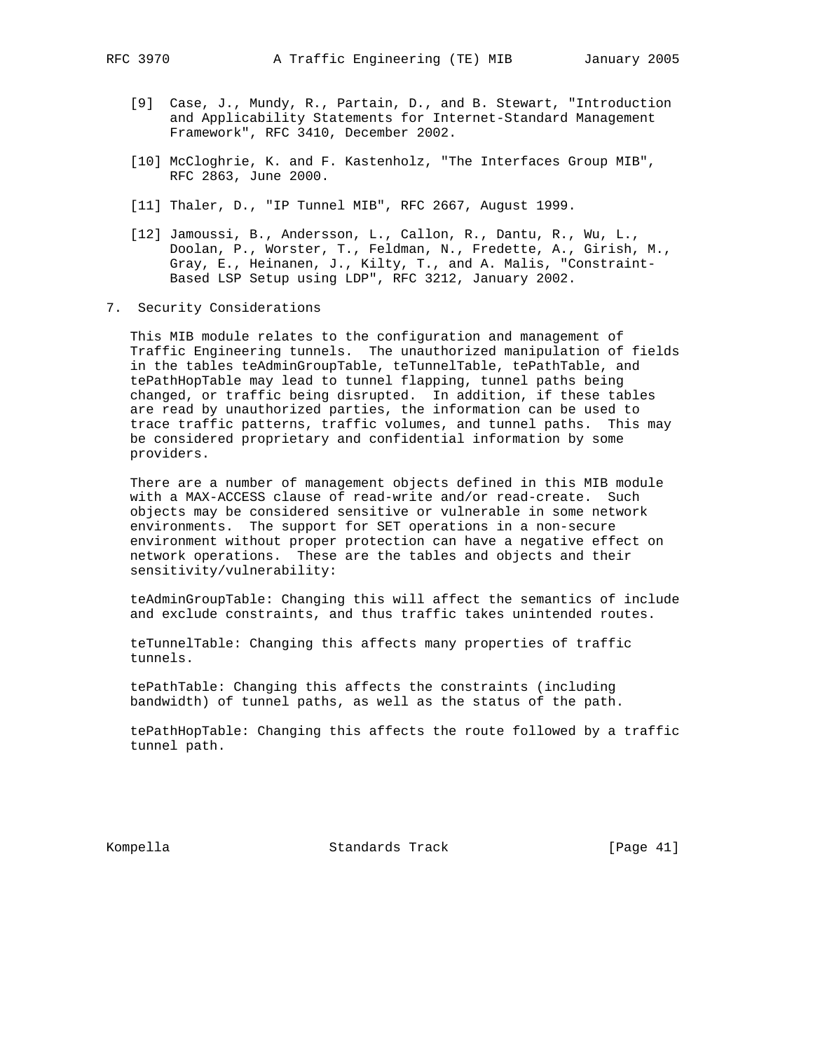- [9] Case, J., Mundy, R., Partain, D., and B. Stewart, "Introduction and Applicability Statements for Internet-Standard Management Framework", RFC 3410, December 2002.
- [10] McCloghrie, K. and F. Kastenholz, "The Interfaces Group MIB", RFC 2863, June 2000.
- [11] Thaler, D., "IP Tunnel MIB", RFC 2667, August 1999.
- [12] Jamoussi, B., Andersson, L., Callon, R., Dantu, R., Wu, L., Doolan, P., Worster, T., Feldman, N., Fredette, A., Girish, M., Gray, E., Heinanen, J., Kilty, T., and A. Malis, "Constraint- Based LSP Setup using LDP", RFC 3212, January 2002.
- 7. Security Considerations

 This MIB module relates to the configuration and management of Traffic Engineering tunnels. The unauthorized manipulation of fields in the tables teAdminGroupTable, teTunnelTable, tePathTable, and tePathHopTable may lead to tunnel flapping, tunnel paths being changed, or traffic being disrupted. In addition, if these tables are read by unauthorized parties, the information can be used to trace traffic patterns, traffic volumes, and tunnel paths. This may be considered proprietary and confidential information by some providers.

 There are a number of management objects defined in this MIB module with a MAX-ACCESS clause of read-write and/or read-create. Such objects may be considered sensitive or vulnerable in some network environments. The support for SET operations in a non-secure environment without proper protection can have a negative effect on network operations. These are the tables and objects and their sensitivity/vulnerability:

 teAdminGroupTable: Changing this will affect the semantics of include and exclude constraints, and thus traffic takes unintended routes.

 teTunnelTable: Changing this affects many properties of traffic tunnels.

 tePathTable: Changing this affects the constraints (including bandwidth) of tunnel paths, as well as the status of the path.

 tePathHopTable: Changing this affects the route followed by a traffic tunnel path.

Kompella **Standards Track** [Page 41]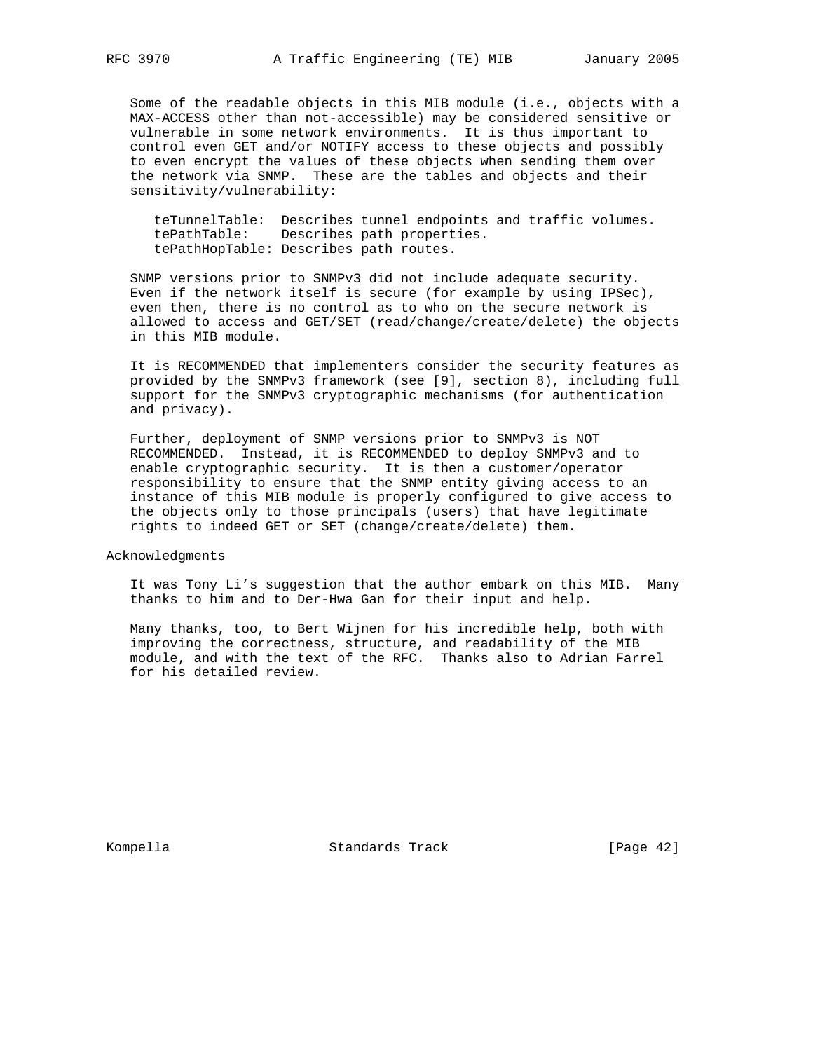Some of the readable objects in this MIB module (i.e., objects with a MAX-ACCESS other than not-accessible) may be considered sensitive or vulnerable in some network environments. It is thus important to control even GET and/or NOTIFY access to these objects and possibly to even encrypt the values of these objects when sending them over the network via SNMP. These are the tables and objects and their sensitivity/vulnerability:

 teTunnelTable: Describes tunnel endpoints and traffic volumes. tePathTable: Describes path properties. tePathHopTable: Describes path routes.

 SNMP versions prior to SNMPv3 did not include adequate security. Even if the network itself is secure (for example by using IPSec), even then, there is no control as to who on the secure network is allowed to access and GET/SET (read/change/create/delete) the objects in this MIB module.

 It is RECOMMENDED that implementers consider the security features as provided by the SNMPv3 framework (see [9], section 8), including full support for the SNMPv3 cryptographic mechanisms (for authentication and privacy).

 Further, deployment of SNMP versions prior to SNMPv3 is NOT RECOMMENDED. Instead, it is RECOMMENDED to deploy SNMPv3 and to enable cryptographic security. It is then a customer/operator responsibility to ensure that the SNMP entity giving access to an instance of this MIB module is properly configured to give access to the objects only to those principals (users) that have legitimate rights to indeed GET or SET (change/create/delete) them.

Acknowledgments

 It was Tony Li's suggestion that the author embark on this MIB. Many thanks to him and to Der-Hwa Gan for their input and help.

 Many thanks, too, to Bert Wijnen for his incredible help, both with improving the correctness, structure, and readability of the MIB module, and with the text of the RFC. Thanks also to Adrian Farrel for his detailed review.

Kompella **Standards Track** [Page 42]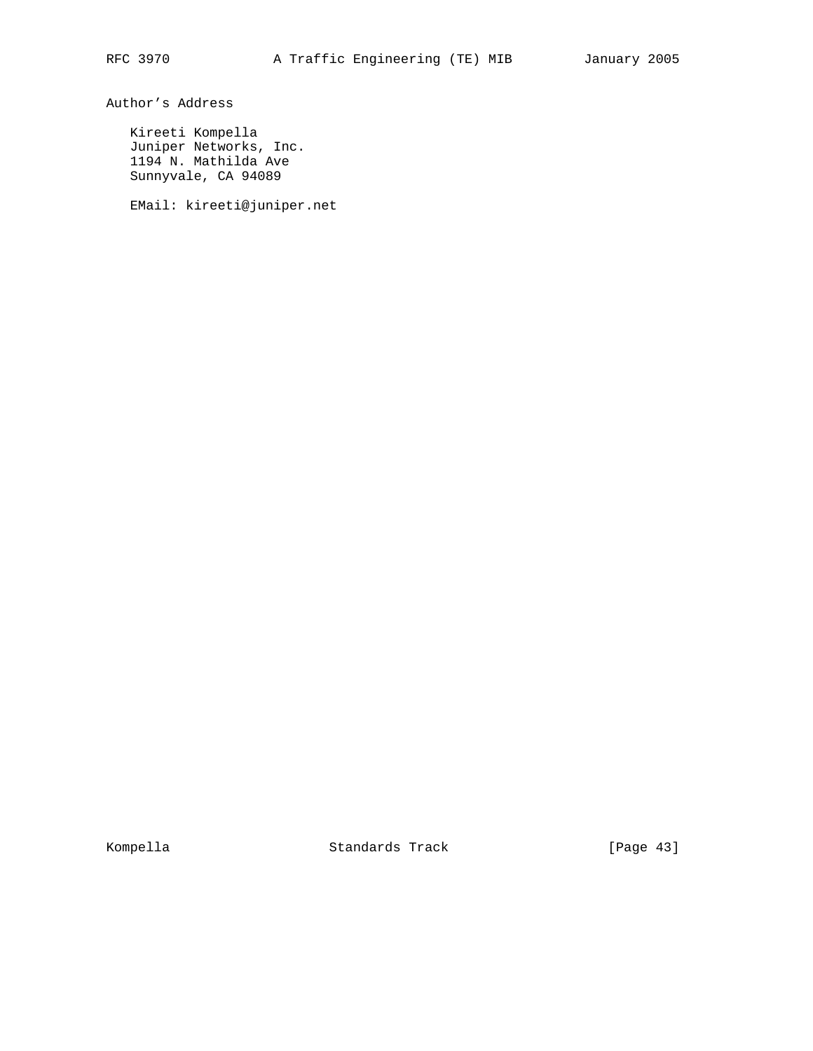Author's Address

 Kireeti Kompella Juniper Networks, Inc. 1194 N. Mathilda Ave Sunnyvale, CA 94089

EMail: kireeti@juniper.net

Kompella **Standards Track** [Page 43]